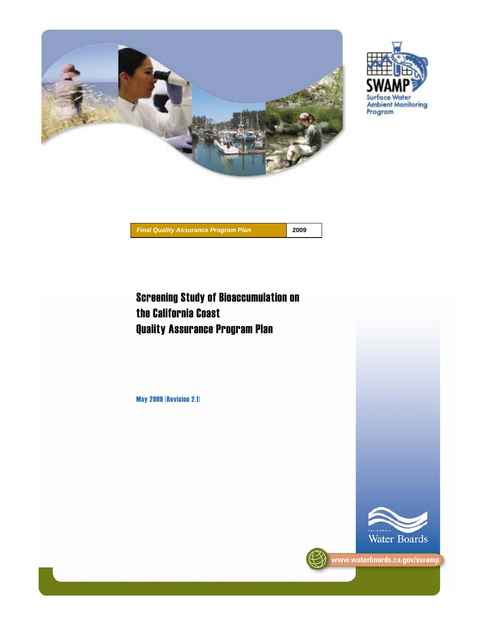



May 2009 [Revision 2.1]



Surface Water Ambient Monitoring<br>Program



www.waterboards.ca.gov/swamp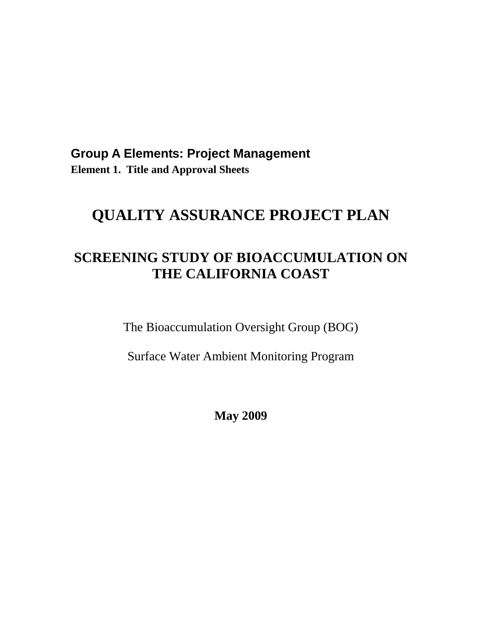# <span id="page-1-0"></span>**Group A Elements: Project Management Element 1. Title and Approval Sheets**

# **QUALITY ASSURANCE PROJECT PLAN**

# **SCREENING STUDY OF BIOACCUMULATION ON THE CALIFORNIA COAST**

The Bioaccumulation Oversight Group (BOG)

Surface Water Ambient Monitoring Program

**May 2009**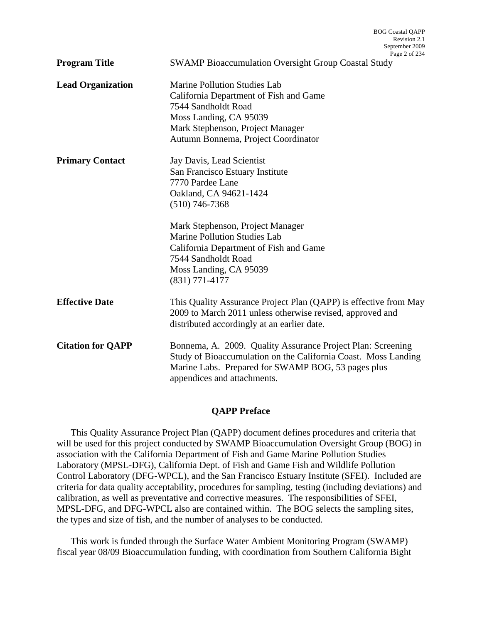|                          | Revision 2.1<br>September 2009<br>Page 2 of 234                                                                                                                                                                                                                                                                          |
|--------------------------|--------------------------------------------------------------------------------------------------------------------------------------------------------------------------------------------------------------------------------------------------------------------------------------------------------------------------|
| <b>Program Title</b>     | <b>SWAMP Bioaccumulation Oversight Group Coastal Study</b>                                                                                                                                                                                                                                                               |
| <b>Lead Organization</b> | <b>Marine Pollution Studies Lab</b><br>California Department of Fish and Game<br>7544 Sandholdt Road<br>Moss Landing, CA 95039<br>Mark Stephenson, Project Manager<br>Autumn Bonnema, Project Coordinator                                                                                                                |
| <b>Primary Contact</b>   | Jay Davis, Lead Scientist<br>San Francisco Estuary Institute<br>7770 Pardee Lane<br>Oakland, CA 94621-1424<br>$(510)$ 746-7368<br>Mark Stephenson, Project Manager<br><b>Marine Pollution Studies Lab</b><br>California Department of Fish and Game<br>7544 Sandholdt Road<br>Moss Landing, CA 95039<br>$(831)$ 771-4177 |
| <b>Effective Date</b>    | This Quality Assurance Project Plan (QAPP) is effective from May<br>2009 to March 2011 unless otherwise revised, approved and<br>distributed accordingly at an earlier date.                                                                                                                                             |
| <b>Citation for QAPP</b> | Bonnema, A. 2009. Quality Assurance Project Plan: Screening<br>Study of Bioaccumulation on the California Coast. Moss Landing<br>Marine Labs. Prepared for SWAMP BOG, 53 pages plus<br>appendices and attachments.                                                                                                       |

BOG Coastal QAPP

#### **QAPP Preface**

This Quality Assurance Project Plan (QAPP) document defines procedures and criteria that will be used for this project conducted by SWAMP Bioaccumulation Oversight Group (BOG) in association with the California Department of Fish and Game Marine Pollution Studies Laboratory (MPSL-DFG), California Dept. of Fish and Game Fish and Wildlife Pollution Control Laboratory (DFG-WPCL), and the San Francisco Estuary Institute (SFEI). Included are criteria for data quality acceptability, procedures for sampling, testing (including deviations) and calibration, as well as preventative and corrective measures. The responsibilities of SFEI, MPSL-DFG, and DFG-WPCL also are contained within. The BOG selects the sampling sites, the types and size of fish, and the number of analyses to be conducted.

This work is funded through the Surface Water Ambient Monitoring Program (SWAMP) fiscal year 08/09 Bioaccumulation funding, with coordination from Southern California Bight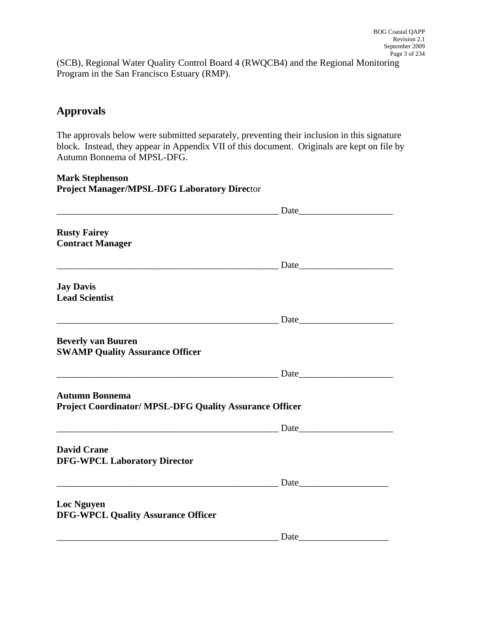(SCB), Regional Water Quality Control Board 4 (RWQCB4) and the Regional Monitoring Program in the San Francisco Estuary (RMP).

# **Approvals**

The approvals below were submitted separately, preventing their inclusion in this signature block. Instead, they appear in Appendix VII of this document. Originals are kept on file by Autumn Bonnema of MPSL-DFG.

**Mark Stephenson Project Manager/MPSL-DFG Laboratory Direc**tor

| <b>Rusty Fairey</b><br><b>Contract Manager</b>                                          |                                                                                                                                                                                                                                |
|-----------------------------------------------------------------------------------------|--------------------------------------------------------------------------------------------------------------------------------------------------------------------------------------------------------------------------------|
|                                                                                         | <b>Example 1</b> Date by Date                                                                                                                                                                                                  |
| <b>Jay Davis</b><br><b>Lead Scientist</b>                                               |                                                                                                                                                                                                                                |
|                                                                                         |                                                                                                                                                                                                                                |
| <b>Beverly van Buuren</b><br><b>SWAMP Quality Assurance Officer</b>                     |                                                                                                                                                                                                                                |
|                                                                                         |                                                                                                                                                                                                                                |
| <b>Autumn Bonnema</b><br><b>Project Coordinator/ MPSL-DFG Quality Assurance Officer</b> |                                                                                                                                                                                                                                |
|                                                                                         |                                                                                                                                                                                                                                |
| <b>David Crane</b><br><b>DFG-WPCL Laboratory Director</b>                               |                                                                                                                                                                                                                                |
|                                                                                         | Date Date Date Contract of the Contract of the Contract of the Contract of the Contract of the Contract of the Contract of the Contract of the Contract of the Contract of the Contract of the Contract of the Contract of the |
| <b>Loc Nguyen</b><br><b>DFG-WPCL Quality Assurance Officer</b>                          |                                                                                                                                                                                                                                |
|                                                                                         |                                                                                                                                                                                                                                |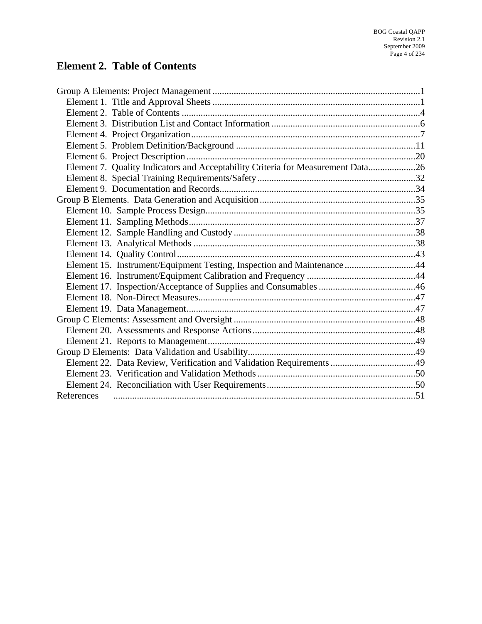# <span id="page-4-0"></span>**Element 2. Table of Contents**

| Element 7. Quality Indicators and Acceptability Criteria for Measurement Data26 |  |
|---------------------------------------------------------------------------------|--|
|                                                                                 |  |
|                                                                                 |  |
|                                                                                 |  |
|                                                                                 |  |
|                                                                                 |  |
|                                                                                 |  |
|                                                                                 |  |
|                                                                                 |  |
| Element 15. Instrument/Equipment Testing, Inspection and Maintenance 44         |  |
|                                                                                 |  |
|                                                                                 |  |
|                                                                                 |  |
|                                                                                 |  |
|                                                                                 |  |
|                                                                                 |  |
|                                                                                 |  |
|                                                                                 |  |
|                                                                                 |  |
|                                                                                 |  |
|                                                                                 |  |
| References                                                                      |  |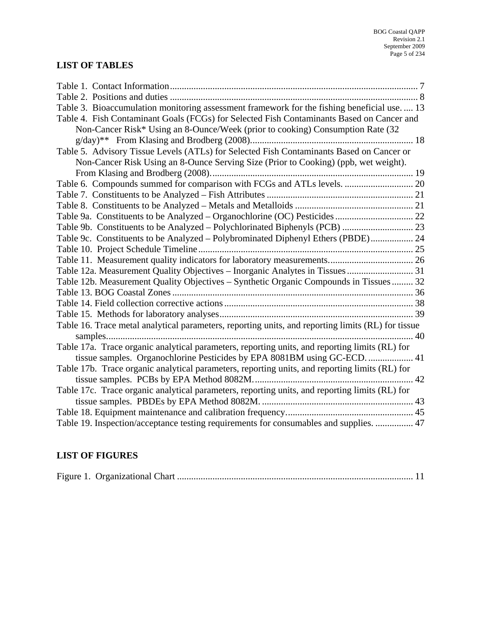# **LIST OF TABLES**

| Table 3. Bioaccumulation monitoring assessment framework for the fishing beneficial use.  13       |  |
|----------------------------------------------------------------------------------------------------|--|
| Table 4. Fish Contaminant Goals (FCGs) for Selected Fish Contaminants Based on Cancer and          |  |
| Non-Cancer Risk* Using an 8-Ounce/Week (prior to cooking) Consumption Rate (32                     |  |
|                                                                                                    |  |
| Table 5. Advisory Tissue Levels (ATLs) for Selected Fish Contaminants Based on Cancer or           |  |
| Non-Cancer Risk Using an 8-Ounce Serving Size (Prior to Cooking) (ppb, wet weight).                |  |
|                                                                                                    |  |
| Table 6. Compounds summed for comparison with FCGs and ATLs levels.  20                            |  |
|                                                                                                    |  |
|                                                                                                    |  |
|                                                                                                    |  |
|                                                                                                    |  |
| Table 9c. Constituents to be Analyzed - Polybrominated Diphenyl Ethers (PBDE) 24                   |  |
|                                                                                                    |  |
|                                                                                                    |  |
| Table 12a. Measurement Quality Objectives - Inorganic Analytes in Tissues  31                      |  |
| Table 12b. Measurement Quality Objectives - Synthetic Organic Compounds in Tissues  32             |  |
|                                                                                                    |  |
|                                                                                                    |  |
|                                                                                                    |  |
| Table 16. Trace metal analytical parameters, reporting units, and reporting limits (RL) for tissue |  |
|                                                                                                    |  |
| Table 17a. Trace organic analytical parameters, reporting units, and reporting limits (RL) for     |  |
| tissue samples. Organochlorine Pesticides by EPA 8081BM using GC-ECD.  41                          |  |
| Table 17b. Trace organic analytical parameters, reporting units, and reporting limits (RL) for     |  |
|                                                                                                    |  |
| Table 17c. Trace organic analytical parameters, reporting units, and reporting limits (RL) for     |  |
|                                                                                                    |  |
|                                                                                                    |  |
| Table 19. Inspection/acceptance testing requirements for consumables and supplies.  47             |  |

# **LIST OF FIGURES**

|--|--|--|--|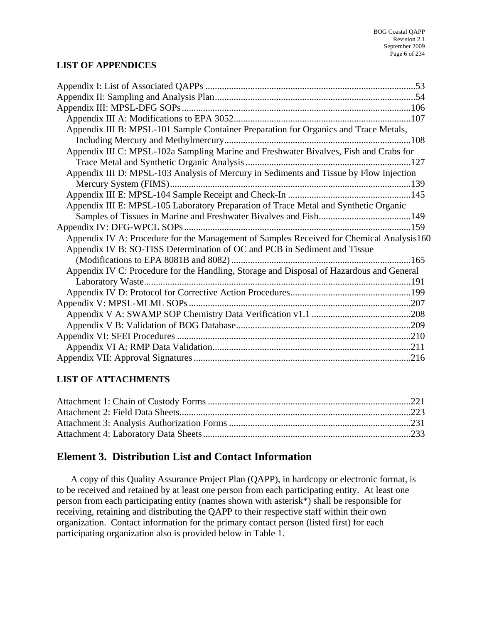## <span id="page-6-0"></span>**LIST OF APPENDICES**

| Appendix III B: MPSL-101 Sample Container Preparation for Organics and Trace Metals,     |  |
|------------------------------------------------------------------------------------------|--|
|                                                                                          |  |
| Appendix III C: MPSL-102a Sampling Marine and Freshwater Bivalves, Fish and Crabs for    |  |
|                                                                                          |  |
| Appendix III D: MPSL-103 Analysis of Mercury in Sediments and Tissue by Flow Injection   |  |
|                                                                                          |  |
|                                                                                          |  |
| Appendix III E: MPSL-105 Laboratory Preparation of Trace Metal and Synthetic Organic     |  |
|                                                                                          |  |
|                                                                                          |  |
| Appendix IV A: Procedure for the Management of Samples Received for Chemical Analysis160 |  |
| Appendix IV B: SO-TISS Determination of OC and PCB in Sediment and Tissue                |  |
|                                                                                          |  |
| Appendix IV C: Procedure for the Handling, Storage and Disposal of Hazardous and General |  |
|                                                                                          |  |
|                                                                                          |  |
|                                                                                          |  |
|                                                                                          |  |
|                                                                                          |  |
|                                                                                          |  |
|                                                                                          |  |
|                                                                                          |  |

# **LIST OF ATTACHMENTS**

# **Element 3. Distribution List and Contact Information**

A copy of this Quality Assurance Project Plan (QAPP), in hardcopy or electronic format, is to be received and retained by at least one person from each participating entity. At least one person from each participating entity (names shown with asterisk\*) shall be responsible for receiving, retaining and distributing the QAPP to their respective staff within their own organization. Contact information for the primary contact person (listed first) for each participating organization also is provided below in Table 1.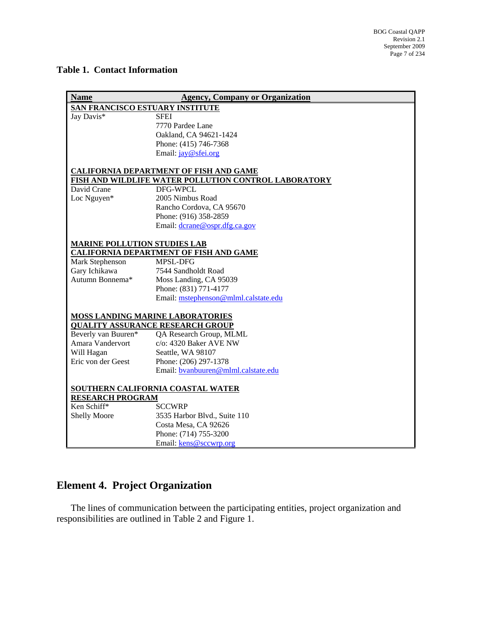#### <span id="page-7-0"></span>**Table 1. Contact Information**

| <b>Name</b>                            | <b>Agency, Company or Organization</b>               |  |  |
|----------------------------------------|------------------------------------------------------|--|--|
| <b>SAN FRANCISCO ESTUARY INSTITUTE</b> |                                                      |  |  |
| Jay Davis*                             | <b>SFEI</b>                                          |  |  |
|                                        | 7770 Pardee Lane                                     |  |  |
|                                        | Oakland, CA 94621-1424                               |  |  |
|                                        | Phone: (415) 746-7368                                |  |  |
|                                        | Email: jay@sfei.org                                  |  |  |
|                                        | <b>CALIFORNIA DEPARTMENT OF FISH AND GAME</b>        |  |  |
|                                        | FISH AND WILDLIFE WATER POLLUTION CONTROL LABORATORY |  |  |
| David Crane                            | DFG-WPCL                                             |  |  |
| Loc Nguyen*                            | 2005 Nimbus Road                                     |  |  |
|                                        | Rancho Cordova, CA 95670                             |  |  |
|                                        | Phone: (916) 358-2859                                |  |  |
|                                        | Email: dcrane@ospr.dfg.ca.gov                        |  |  |
| <b>MARINE POLLUTION STUDIES LAB</b>    |                                                      |  |  |
|                                        | <b>CALIFORNIA DEPARTMENT OF FISH AND GAME</b>        |  |  |
| Mark Stephenson                        | MPSL-DFG                                             |  |  |
| Gary Ichikawa                          | 7544 Sandholdt Road                                  |  |  |
| Autumn Bonnema*                        | Moss Landing, CA 95039                               |  |  |
|                                        | Phone: (831) 771-4177                                |  |  |
|                                        | Email: mstephenson@mlml.calstate.edu                 |  |  |
|                                        | MOSS LANDING MARINE LABORATORIES                     |  |  |
|                                        | <b>QUALITY ASSURANCE RESEARCH GROUP</b>              |  |  |
| Beverly van Buuren*                    | QA Research Group, MLML                              |  |  |
| Amara Vandervort                       | c/o: 4320 Baker AVE NW                               |  |  |
| Will Hagan                             | Seattle, WA 98107                                    |  |  |
| Eric von der Geest                     | Phone: (206) 297-1378                                |  |  |
|                                        | Email: byanbuuren@mlml.calstate.edu                  |  |  |
| SOUTHERN CALIFORNIA COASTAL WATER      |                                                      |  |  |
| <b>RESEARCH PROGRAM</b>                |                                                      |  |  |
| Ken Schiff*                            | <b>SCCWRP</b>                                        |  |  |
| <b>Shelly Moore</b>                    | 3535 Harbor Blvd., Suite 110                         |  |  |
|                                        | Costa Mesa, CA 92626                                 |  |  |
|                                        | Phone: (714) 755-3200                                |  |  |
|                                        | Email: kens@sccwrp.org                               |  |  |

# **Element 4. Project Organization**

The lines of communication between the participating entities, project organization and responsibilities are outlined in Table 2 and Figure 1.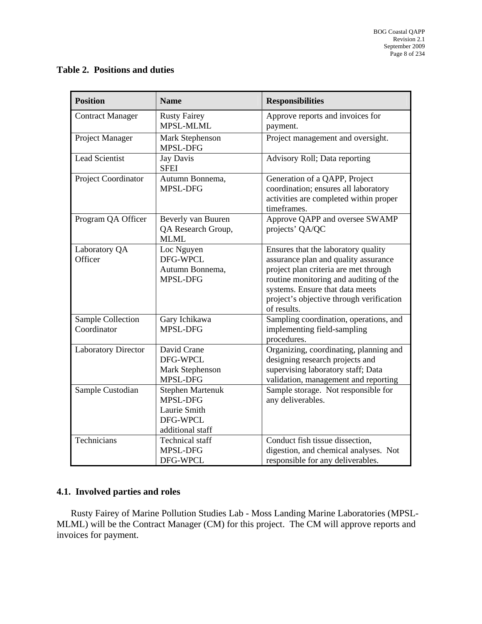## <span id="page-8-0"></span>**Table 2. Positions and duties**

| <b>Position</b>                  | <b>Name</b>                                                                         | <b>Responsibilities</b>                                                                                                                                                                                                                                      |
|----------------------------------|-------------------------------------------------------------------------------------|--------------------------------------------------------------------------------------------------------------------------------------------------------------------------------------------------------------------------------------------------------------|
| <b>Contract Manager</b>          | <b>Rusty Fairey</b><br>MPSL-MLML                                                    | Approve reports and invoices for<br>payment.                                                                                                                                                                                                                 |
| Project Manager                  | Mark Stephenson<br>MPSL-DFG                                                         | Project management and oversight.                                                                                                                                                                                                                            |
| <b>Lead Scientist</b>            | Jay Davis<br><b>SFEI</b>                                                            | Advisory Roll; Data reporting                                                                                                                                                                                                                                |
| Project Coordinator              | Autumn Bonnema,<br>MPSL-DFG                                                         | Generation of a QAPP, Project<br>coordination; ensures all laboratory<br>activities are completed within proper<br>timeframes.                                                                                                                               |
| Program QA Officer               | Beverly van Buuren<br>QA Research Group,<br><b>MLML</b>                             | Approve QAPP and oversee SWAMP<br>projects' QA/QC                                                                                                                                                                                                            |
| Laboratory QA<br>Officer         | Loc Nguyen<br>DFG-WPCL<br>Autumn Bonnema,<br>MPSL-DFG                               | Ensures that the laboratory quality<br>assurance plan and quality assurance<br>project plan criteria are met through<br>routine monitoring and auditing of the<br>systems. Ensure that data meets<br>project's objective through verification<br>of results. |
| Sample Collection<br>Coordinator | Gary Ichikawa<br>MPSL-DFG                                                           | Sampling coordination, operations, and<br>implementing field-sampling<br>procedures.                                                                                                                                                                         |
| <b>Laboratory Director</b>       | David Crane<br>DFG-WPCL<br>Mark Stephenson<br>MPSL-DFG                              | Organizing, coordinating, planning and<br>designing research projects and<br>supervising laboratory staff; Data<br>validation, management and reporting                                                                                                      |
| Sample Custodian                 | <b>Stephen Martenuk</b><br>MPSL-DFG<br>Laurie Smith<br>DFG-WPCL<br>additional staff | Sample storage. Not responsible for<br>any deliverables.                                                                                                                                                                                                     |
| Technicians                      | <b>Technical</b> staff<br>MPSL-DFG<br>DFG-WPCL                                      | Conduct fish tissue dissection,<br>digestion, and chemical analyses. Not<br>responsible for any deliverables.                                                                                                                                                |

# **4.1. Involved parties and roles**

Rusty Fairey of Marine Pollution Studies Lab - Moss Landing Marine Laboratories (MPSL-MLML) will be the Contract Manager (CM) for this project. The CM will approve reports and invoices for payment.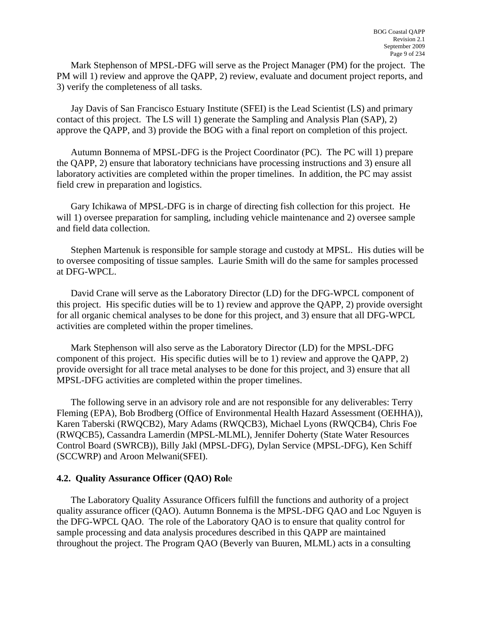Mark Stephenson of MPSL-DFG will serve as the Project Manager (PM) for the project. The PM will 1) review and approve the QAPP, 2) review, evaluate and document project reports, and 3) verify the completeness of all tasks.

Jay Davis of San Francisco Estuary Institute (SFEI) is the Lead Scientist (LS) and primary contact of this project. The LS will 1) generate the Sampling and Analysis Plan (SAP), 2) approve the QAPP, and 3) provide the BOG with a final report on completion of this project.

Autumn Bonnema of MPSL-DFG is the Project Coordinator (PC). The PC will 1) prepare the QAPP, 2) ensure that laboratory technicians have processing instructions and 3) ensure all laboratory activities are completed within the proper timelines. In addition, the PC may assist field crew in preparation and logistics.

Gary Ichikawa of MPSL-DFG is in charge of directing fish collection for this project. He will 1) oversee preparation for sampling, including vehicle maintenance and 2) oversee sample and field data collection.

Stephen Martenuk is responsible for sample storage and custody at MPSL. His duties will be to oversee compositing of tissue samples. Laurie Smith will do the same for samples processed at DFG-WPCL.

David Crane will serve as the Laboratory Director (LD) for the DFG-WPCL component of this project. His specific duties will be to 1) review and approve the QAPP, 2) provide oversight for all organic chemical analyses to be done for this project, and 3) ensure that all DFG-WPCL activities are completed within the proper timelines.

Mark Stephenson will also serve as the Laboratory Director (LD) for the MPSL-DFG component of this project. His specific duties will be to 1) review and approve the QAPP, 2) provide oversight for all trace metal analyses to be done for this project, and 3) ensure that all MPSL-DFG activities are completed within the proper timelines.

The following serve in an advisory role and are not responsible for any deliverables: Terry Fleming (EPA), Bob Brodberg (Office of Environmental Health Hazard Assessment (OEHHA)), Karen Taberski (RWQCB2), Mary Adams (RWQCB3), Michael Lyons (RWQCB4), Chris Foe (RWQCB5), Cassandra Lamerdin (MPSL-MLML), Jennifer Doherty (State Water Resources Control Board (SWRCB)), Billy Jakl (MPSL-DFG), Dylan Service (MPSL-DFG), Ken Schiff (SCCWRP) and Aroon Melwani(SFEI).

#### **4.2. Quality Assurance Officer (QAO) Rol**e

The Laboratory Quality Assurance Officers fulfill the functions and authority of a project quality assurance officer (QAO). Autumn Bonnema is the MPSL-DFG QAO and Loc Nguyen is the DFG-WPCL QAO. The role of the Laboratory QAO is to ensure that quality control for sample processing and data analysis procedures described in this QAPP are maintained throughout the project. The Program QAO (Beverly van Buuren, MLML) acts in a consulting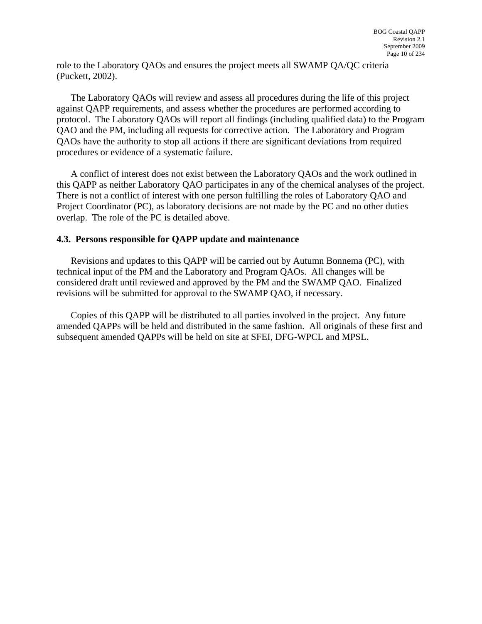role to the Laboratory QAOs and ensures the project meets all SWAMP QA/QC criteria (Puckett, 2002).

The Laboratory QAOs will review and assess all procedures during the life of this project against QAPP requirements, and assess whether the procedures are performed according to protocol. The Laboratory QAOs will report all findings (including qualified data) to the Program QAO and the PM, including all requests for corrective action. The Laboratory and Program QAOs have the authority to stop all actions if there are significant deviations from required procedures or evidence of a systematic failure.

A conflict of interest does not exist between the Laboratory QAOs and the work outlined in this QAPP as neither Laboratory QAO participates in any of the chemical analyses of the project. There is not a conflict of interest with one person fulfilling the roles of Laboratory QAO and Project Coordinator (PC), as laboratory decisions are not made by the PC and no other duties overlap. The role of the PC is detailed above.

#### **4.3. Persons responsible for QAPP update and maintenance**

Revisions and updates to this QAPP will be carried out by Autumn Bonnema (PC), with technical input of the PM and the Laboratory and Program QAOs. All changes will be considered draft until reviewed and approved by the PM and the SWAMP QAO. Finalized revisions will be submitted for approval to the SWAMP QAO, if necessary.

Copies of this QAPP will be distributed to all parties involved in the project. Any future amended QAPPs will be held and distributed in the same fashion. All originals of these first and subsequent amended QAPPs will be held on site at SFEI, DFG-WPCL and MPSL.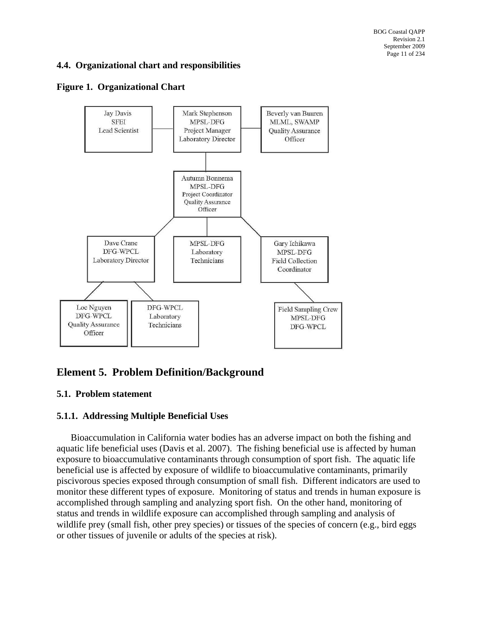# <span id="page-11-0"></span>**4.4. Organizational chart and responsibilities**

#### **Figure 1. Organizational Chart**



# **Element 5. Problem Definition/Background**

## **5.1. Problem statement**

## **5.1.1. Addressing Multiple Beneficial Uses**

Bioaccumulation in California water bodies has an adverse impact on both the fishing and aquatic life beneficial uses (Davis et al. 2007). The fishing beneficial use is affected by human exposure to bioaccumulative contaminants through consumption of sport fish. The aquatic life beneficial use is affected by exposure of wildlife to bioaccumulative contaminants, primarily piscivorous species exposed through consumption of small fish. Different indicators are used to monitor these different types of exposure. Monitoring of status and trends in human exposure is accomplished through sampling and analyzing sport fish. On the other hand, monitoring of status and trends in wildlife exposure can accomplished through sampling and analysis of wildlife prey (small fish, other prey species) or tissues of the species of concern (e.g., bird eggs or other tissues of juvenile or adults of the species at risk).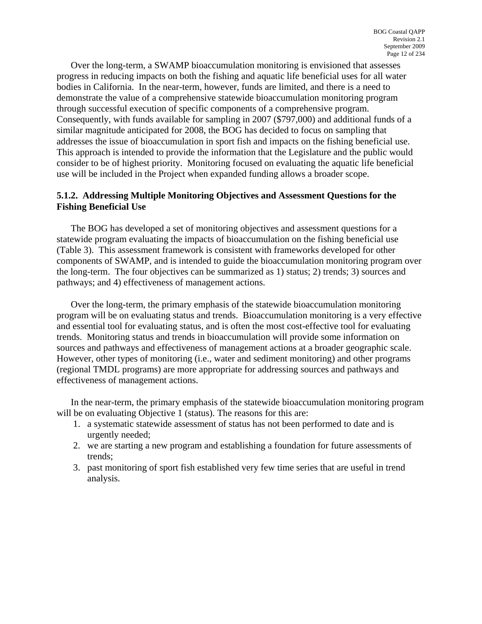Over the long-term, a SWAMP bioaccumulation monitoring is envisioned that assesses progress in reducing impacts on both the fishing and aquatic life beneficial uses for all water bodies in California. In the near-term, however, funds are limited, and there is a need to demonstrate the value of a comprehensive statewide bioaccumulation monitoring program through successful execution of specific components of a comprehensive program. Consequently, with funds available for sampling in 2007 (\$797,000) and additional funds of a similar magnitude anticipated for 2008, the BOG has decided to focus on sampling that addresses the issue of bioaccumulation in sport fish and impacts on the fishing beneficial use. This approach is intended to provide the information that the Legislature and the public would consider to be of highest priority. Monitoring focused on evaluating the aquatic life beneficial use will be included in the Project when expanded funding allows a broader scope.

#### **5.1.2. Addressing Multiple Monitoring Objectives and Assessment Questions for the Fishing Beneficial Use**

The BOG has developed a set of monitoring objectives and assessment questions for a statewide program evaluating the impacts of bioaccumulation on the fishing beneficial use (Table 3). This assessment framework is consistent with frameworks developed for other components of SWAMP, and is intended to guide the bioaccumulation monitoring program over the long-term. The four objectives can be summarized as 1) status; 2) trends; 3) sources and pathways; and 4) effectiveness of management actions.

Over the long-term, the primary emphasis of the statewide bioaccumulation monitoring program will be on evaluating status and trends. Bioaccumulation monitoring is a very effective and essential tool for evaluating status, and is often the most cost-effective tool for evaluating trends. Monitoring status and trends in bioaccumulation will provide some information on sources and pathways and effectiveness of management actions at a broader geographic scale. However, other types of monitoring (i.e., water and sediment monitoring) and other programs (regional TMDL programs) are more appropriate for addressing sources and pathways and effectiveness of management actions.

In the near-term, the primary emphasis of the statewide bioaccumulation monitoring program will be on evaluating Objective 1 (status). The reasons for this are:

- 1. a systematic statewide assessment of status has not been performed to date and is urgently needed;
- 2. we are starting a new program and establishing a foundation for future assessments of trends;
- 3. past monitoring of sport fish established very few time series that are useful in trend analysis.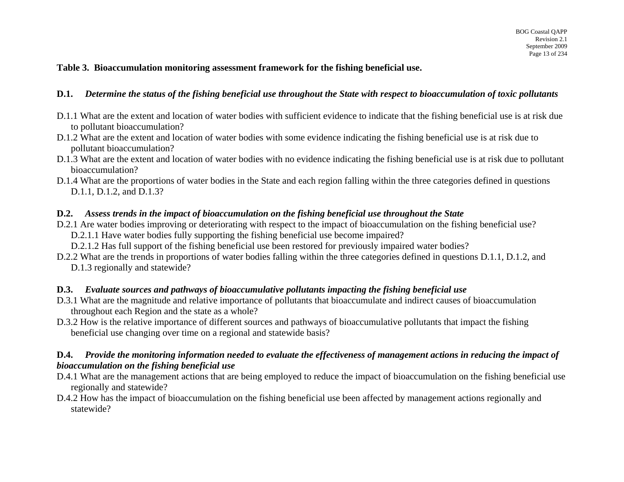#### **Table 3. Bioaccumulation monitoring assessment framework for the fishing beneficial use.**

#### **D.1.** *Determine the status of the fishing beneficial use throughout the State with respect to bioaccumulation of toxic pollutants*

- D.1.1 What are the extent and location of water bodies with sufficient evidence to indicate that the fishing beneficial use is at risk due to pollutant bioaccumulation?
- D.1.2 What are the extent and location of water bodies with some evidence indicating the fishing beneficial use is at risk due to pollutant bioaccumulation?
- D.1.3 What are the extent and location of water bodies with no evidence indicating the fishing beneficial use is at risk due to pollutant bioaccumulation?
- D.1.4 What are the proportions of water bodies in the State and each region falling within the three categories defined in questions D.1.1, D.1.2, and D.1.3?

#### **D.2.** *Assess trends in the impact of bioaccumulation on the fishing beneficial use throughout the State*

- D.2.1 Are water bodies improving or deteriorating with respect to the impact of bioaccumulation on the fishing beneficial use?
	- D.2.1.1 Have water bodies fully supporting the fishing beneficial use become impaired?
	- D.2.1.2 Has full support of the fishing beneficial use been restored for previously impaired water bodies?
- D.2.2 What are the trends in proportions of water bodies falling within the three categories defined in questions D.1.1, D.1.2, and D.1.3 regionally and statewide?

#### **D.3.** *Evaluate sources and pathways of bioaccumulative pollutants impacting the fishing beneficial use*

- D.3.1 What are the magnitude and relative importance of pollutants that bioaccumulate and indirect causes of bioaccumulation throughout each Region and the state as a whole?
- D.3.2 How is the relative importance of different sources and pathways of bioaccumulative pollutants that impact the fishing beneficial use changing over time on a regional and statewide basis?

#### **D.4.** *Provide the monitoring information needed to evaluate the effectiveness of management actions in reducing the impact of bioaccumulation on the fishing beneficial use*

- D.4.1 What are the management actions that are being employed to reduce the impact of bioaccumulation on the fishing beneficial use regionally and statewide?
- <span id="page-13-0"></span>D.4.2 How has the impact of bioaccumulation on the fishing beneficial use been affected by management actions regionally and statewide?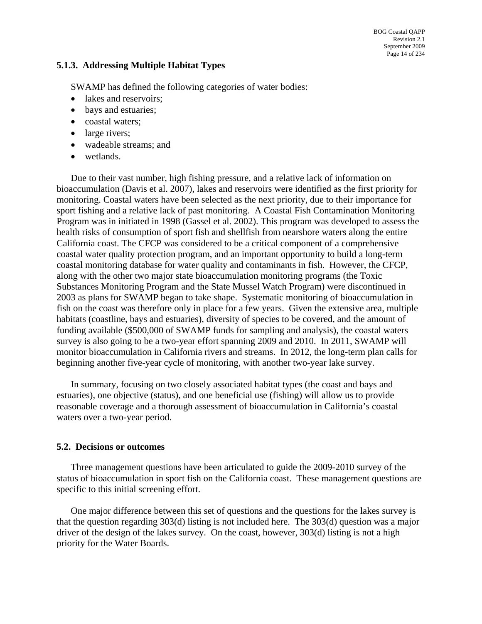#### **5.1.3. Addressing Multiple Habitat Types**

SWAMP has defined the following categories of water bodies:

- lakes and reservoirs;
- bays and estuaries:
- coastal waters;
- large rivers;
- wadeable streams: and
- wetlands.

Due to their vast number, high fishing pressure, and a relative lack of information on bioaccumulation (Davis et al. 2007), lakes and reservoirs were identified as the first priority for monitoring. Coastal waters have been selected as the next priority, due to their importance for sport fishing and a relative lack of past monitoring. A Coastal Fish Contamination Monitoring Program was in initiated in 1998 (Gassel et al. 2002). This program was developed to assess the health risks of consumption of sport fish and shellfish from nearshore waters along the entire California coast. The CFCP was considered to be a critical component of a comprehensive coastal water quality protection program, and an important opportunity to build a long-term coastal monitoring database for water quality and contaminants in fish. However, the CFCP, along with the other two major state bioaccumulation monitoring programs (the Toxic Substances Monitoring Program and the State Mussel Watch Program) were discontinued in 2003 as plans for SWAMP began to take shape. Systematic monitoring of bioaccumulation in fish on the coast was therefore only in place for a few years. Given the extensive area, multiple habitats (coastline, bays and estuaries), diversity of species to be covered, and the amount of funding available (\$500,000 of SWAMP funds for sampling and analysis), the coastal waters survey is also going to be a two-year effort spanning 2009 and 2010. In 2011, SWAMP will monitor bioaccumulation in California rivers and streams. In 2012, the long-term plan calls for beginning another five-year cycle of monitoring, with another two-year lake survey.

In summary, focusing on two closely associated habitat types (the coast and bays and estuaries), one objective (status), and one beneficial use (fishing) will allow us to provide reasonable coverage and a thorough assessment of bioaccumulation in California's coastal waters over a two-year period.

#### **5.2. Decisions or outcomes**

Three management questions have been articulated to guide the 2009-2010 survey of the status of bioaccumulation in sport fish on the California coast. These management questions are specific to this initial screening effort.

One major difference between this set of questions and the questions for the lakes survey is that the question regarding 303(d) listing is not included here. The 303(d) question was a major driver of the design of the lakes survey. On the coast, however, 303(d) listing is not a high priority for the Water Boards.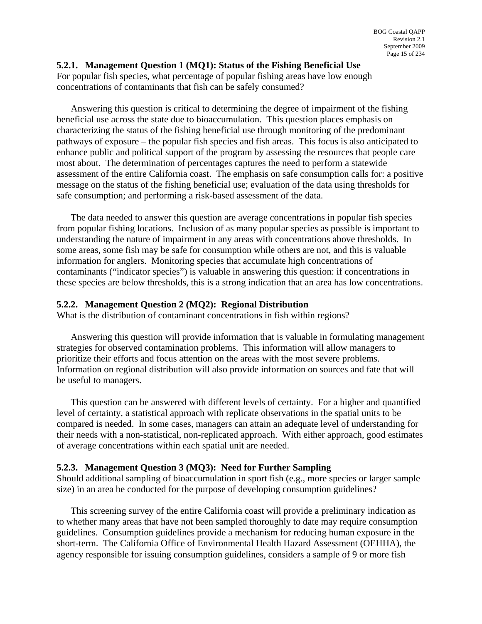#### **5.2.1. Management Question 1 (MQ1): Status of the Fishing Beneficial Use**

For popular fish species, what percentage of popular fishing areas have low enough concentrations of contaminants that fish can be safely consumed?

Answering this question is critical to determining the degree of impairment of the fishing beneficial use across the state due to bioaccumulation. This question places emphasis on characterizing the status of the fishing beneficial use through monitoring of the predominant pathways of exposure – the popular fish species and fish areas. This focus is also anticipated to enhance public and political support of the program by assessing the resources that people care most about. The determination of percentages captures the need to perform a statewide assessment of the entire California coast. The emphasis on safe consumption calls for: a positive message on the status of the fishing beneficial use; evaluation of the data using thresholds for safe consumption; and performing a risk-based assessment of the data.

The data needed to answer this question are average concentrations in popular fish species from popular fishing locations. Inclusion of as many popular species as possible is important to understanding the nature of impairment in any areas with concentrations above thresholds. In some areas, some fish may be safe for consumption while others are not, and this is valuable information for anglers. Monitoring species that accumulate high concentrations of contaminants ("indicator species") is valuable in answering this question: if concentrations in these species are below thresholds, this is a strong indication that an area has low concentrations.

#### **5.2.2. Management Question 2 (MQ2): Regional Distribution**

What is the distribution of contaminant concentrations in fish within regions?

Answering this question will provide information that is valuable in formulating management strategies for observed contamination problems. This information will allow managers to prioritize their efforts and focus attention on the areas with the most severe problems. Information on regional distribution will also provide information on sources and fate that will be useful to managers.

This question can be answered with different levels of certainty. For a higher and quantified level of certainty, a statistical approach with replicate observations in the spatial units to be compared is needed. In some cases, managers can attain an adequate level of understanding for their needs with a non-statistical, non-replicated approach. With either approach, good estimates of average concentrations within each spatial unit are needed.

#### **5.2.3. Management Question 3 (MQ3): Need for Further Sampling**

Should additional sampling of bioaccumulation in sport fish (e.g., more species or larger sample size) in an area be conducted for the purpose of developing consumption guidelines?

This screening survey of the entire California coast will provide a preliminary indication as to whether many areas that have not been sampled thoroughly to date may require consumption guidelines. Consumption guidelines provide a mechanism for reducing human exposure in the short-term. The California Office of Environmental Health Hazard Assessment (OEHHA), the agency responsible for issuing consumption guidelines, considers a sample of 9 or more fish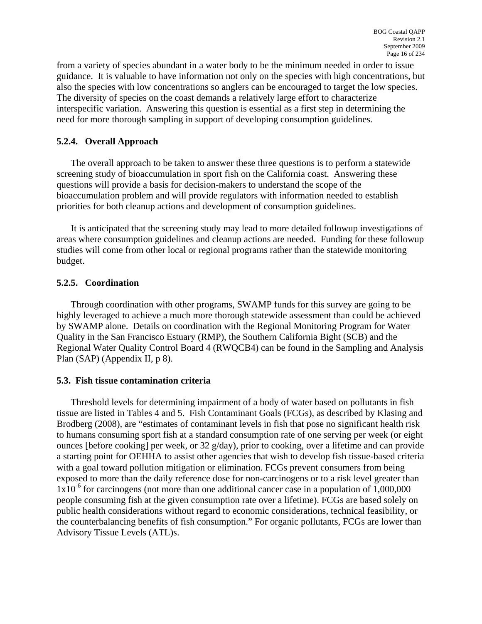from a variety of species abundant in a water body to be the minimum needed in order to issue guidance. It is valuable to have information not only on the species with high concentrations, but also the species with low concentrations so anglers can be encouraged to target the low species. The diversity of species on the coast demands a relatively large effort to characterize interspecific variation. Answering this question is essential as a first step in determining the need for more thorough sampling in support of developing consumption guidelines.

### **5.2.4. Overall Approach**

The overall approach to be taken to answer these three questions is to perform a statewide screening study of bioaccumulation in sport fish on the California coast. Answering these questions will provide a basis for decision-makers to understand the scope of the bioaccumulation problem and will provide regulators with information needed to establish priorities for both cleanup actions and development of consumption guidelines.

It is anticipated that the screening study may lead to more detailed followup investigations of areas where consumption guidelines and cleanup actions are needed. Funding for these followup studies will come from other local or regional programs rather than the statewide monitoring budget.

#### **5.2.5. Coordination**

Through coordination with other programs, SWAMP funds for this survey are going to be highly leveraged to achieve a much more thorough statewide assessment than could be achieved by SWAMP alone. Details on coordination with the Regional Monitoring Program for Water Quality in the San Francisco Estuary (RMP), the Southern California Bight (SCB) and the Regional Water Quality Control Board 4 (RWQCB4) can be found in the Sampling and Analysis Plan (SAP) (Appendix II, p 8).

#### **5.3. Fish tissue contamination criteria**

Threshold levels for determining impairment of a body of water based on pollutants in fish tissue are listed in Tables 4 and 5. Fish Contaminant Goals (FCGs), as described by Klasing and Brodberg (2008), are "estimates of contaminant levels in fish that pose no significant health risk to humans consuming sport fish at a standard consumption rate of one serving per week (or eight ounces [before cooking] per week, or 32 g/day), prior to cooking, over a lifetime and can provide a starting point for OEHHA to assist other agencies that wish to develop fish tissue-based criteria with a goal toward pollution mitigation or elimination. FCGs prevent consumers from being exposed to more than the daily reference dose for non-carcinogens or to a risk level greater than  $1x10^{-6}$  for carcinogens (not more than one additional cancer case in a population of 1,000,000 people consuming fish at the given consumption rate over a lifetime). FCGs are based solely on public health considerations without regard to economic considerations, technical feasibility, or the counterbalancing benefits of fish consumption." For organic pollutants, FCGs are lower than Advisory Tissue Levels (ATL)s.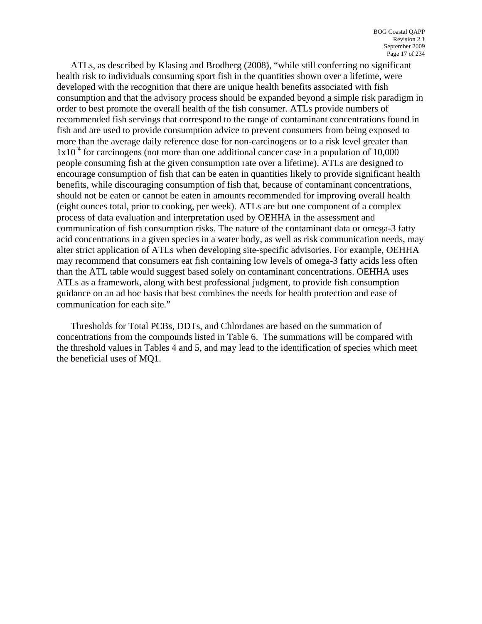ATLs, as described by Klasing and Brodberg (2008), "while still conferring no significant health risk to individuals consuming sport fish in the quantities shown over a lifetime, were developed with the recognition that there are unique health benefits associated with fish consumption and that the advisory process should be expanded beyond a simple risk paradigm in order to best promote the overall health of the fish consumer. ATLs provide numbers of recommended fish servings that correspond to the range of contaminant concentrations found in fish and are used to provide consumption advice to prevent consumers from being exposed to more than the average daily reference dose for non-carcinogens or to a risk level greater than  $1x10<sup>-4</sup>$  for carcinogens (not more than one additional cancer case in a population of 10,000 people consuming fish at the given consumption rate over a lifetime). ATLs are designed to encourage consumption of fish that can be eaten in quantities likely to provide significant health benefits, while discouraging consumption of fish that, because of contaminant concentrations, should not be eaten or cannot be eaten in amounts recommended for improving overall health (eight ounces total, prior to cooking, per week). ATLs are but one component of a complex process of data evaluation and interpretation used by OEHHA in the assessment and communication of fish consumption risks. The nature of the contaminant data or omega-3 fatty acid concentrations in a given species in a water body, as well as risk communication needs, may alter strict application of ATLs when developing site-specific advisories. For example, OEHHA may recommend that consumers eat fish containing low levels of omega-3 fatty acids less often than the ATL table would suggest based solely on contaminant concentrations. OEHHA uses ATLs as a framework, along with best professional judgment, to provide fish consumption guidance on an ad hoc basis that best combines the needs for health protection and ease of communication for each site."

Thresholds for Total PCBs, DDTs, and Chlordanes are based on the summation of concentrations from the compounds listed in Table 6. The summations will be compared with the threshold values in Tables 4 and 5, and may lead to the identification of species which meet the beneficial uses of MQ1.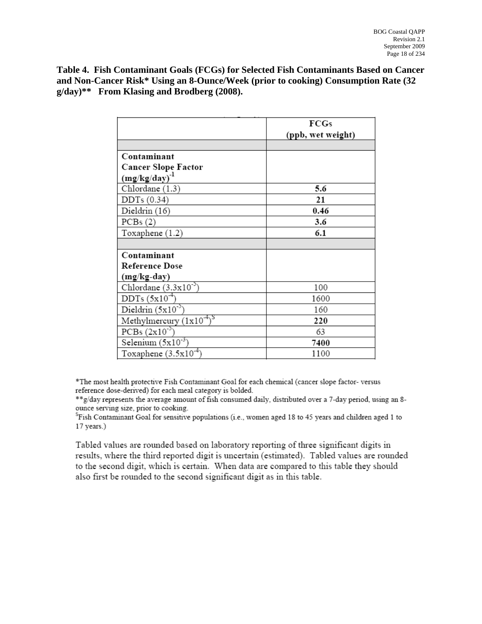<span id="page-18-0"></span>**Table 4. Fish Contaminant Goals (FCGs) for Selected Fish Contaminants Based on Cancer and Non-Cancer Risk\* Using an 8-Ounce/Week (prior to cooking) Consumption Rate (32 g/day)\*\* From Klasing and Brodberg (2008).** 

|                               | FCGs              |
|-------------------------------|-------------------|
|                               | (ppb, wet weight) |
|                               |                   |
| Contaminant                   |                   |
| <b>Cancer Slope Factor</b>    |                   |
| $(mg/kg/day)^{-1}$            |                   |
| Chlordane (1.3)               | 5.6               |
| DDTs (0.34)                   | 21                |
| Dieldrin (16)                 | 0.46              |
| PCBs(2)                       | 3.6               |
| Toxaphene (1.2)               | 6.1               |
|                               |                   |
| Contaminant                   |                   |
| <b>Reference Dose</b>         |                   |
| (mg/kg-day)                   |                   |
| Chlordane $(3.3x10^{-3})$     | 100               |
| $DDTs(5x10^{-4})$             | 1600              |
| Dieldrin $(5x10^{-3})$        | 160               |
| Methylmercury $(1x10^{-4})^S$ | 220               |
| $PCBs (2x10^{-3})$            | 63                |
| Selenium $(5x10^{-3})$        | 7400              |
| Toxaphene $(3.5x10^{-4})$     | 1100              |

\*The most health protective Fish Contaminant Goal for each chemical (cancer slope factor-versus reference dose-derived) for each meal category is bolded.

\*\*g/day represents the average amount of fish consumed daily, distributed over a 7-day period, using an 8ounce serving size, prior to cooking.

 ${}^{\rm S}$ Fish Contaminant Goal for sensitive populations (i.e., women aged 18 to 45 years and children aged 1 to 17 years.)

Tabled values are rounded based on laboratory reporting of three significant digits in results, where the third reported digit is uncertain (estimated). Tabled values are rounded to the second digit, which is certain. When data are compared to this table they should also first be rounded to the second significant digit as in this table.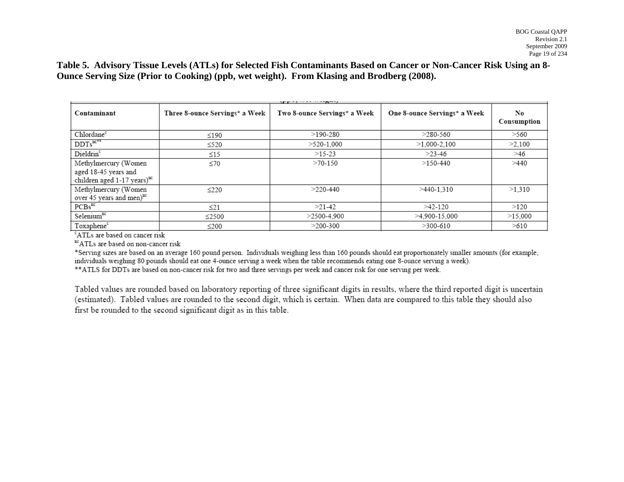**Table 5. Advisory Tissue Levels (ATLs) for Selected Fish Contaminants Based on Cancer or Non-Cancer Risk Using an 8- Ounce Serving Size (Prior to Cooking) (ppb, wet weight). From Klasing and Brodberg (2008).** 

| $\mathbf{u}$ . The state $\mathbf{u}$ is the state $\mathbf{u}$ |                                |                              |                              |                   |
|-----------------------------------------------------------------|--------------------------------|------------------------------|------------------------------|-------------------|
| Contaminant                                                     | Three 8-ounce Servings* a Week | Two 8-ounce Servings* a Week | One 8-ounce Servings* a Week | No<br>Consumption |
| Chlordane <sup>c</sup>                                          | $\leq$ 190                     | $>190-280$                   | $>280-560$                   | >560              |
| $DDTs^{nc**}$                                                   | $\leq$ 520                     | $>520-1.000$                 | $>1.000 - 2.100$             | >2.100            |
| Dieldrin <sup>c</sup>                                           | $\leq$ 15                      | $>15-23$                     | $>23-46$                     | >46               |
| Methylmercury (Women                                            | $\leq 70$                      | $>70-150$                    | $>150-440$                   | >440              |
| aged 18-45 years and<br>children aged 1-17 years) <sup>nc</sup> |                                |                              |                              |                   |
| Methylmercury (Women<br>over 45 years and men) <sup>nc</sup>    | $\leq$ 220                     | $>220-440$                   | $>440-1.310$                 | >1.310            |
| PCBs <sup>nc</sup>                                              | $\leq$ 21                      | $>21-42$                     | $>42-120$                    | >120              |
| Selenium <sup>nc</sup>                                          | $\leq$ 2500                    | $>2500-4.900$                | >4,900-15,000                | >15,000           |
| Toxaphene <sup>c</sup>                                          | $\leq$ 200<br>. .              | $>200-300$                   | $>300-610$                   | >610              |

<sup>c</sup>ATLs are based on cancer risk

ncATLs are based on non-cancer risk

\*Serving sizes are based on an average 160 pound person. Individuals weighing less than 160 pounds should eat proportionately smaller amounts (for example, individuals weighing 80 pounds should eat one 4-ounce serving a week when the table recommends eating one 8-ounce serving a week).

\*\* ATLS for DDTs are based on non-cancer risk for two and three servings per week and cancer risk for one serving per week.

<span id="page-19-0"></span>Tabled values are rounded based on laboratory reporting of three significant digits in results, where the third reported digit is uncertain (estimated). Tabled values are rounded to the second digit, which is certain. When data are compared to this table they should also first be rounded to the second significant digit as in this table.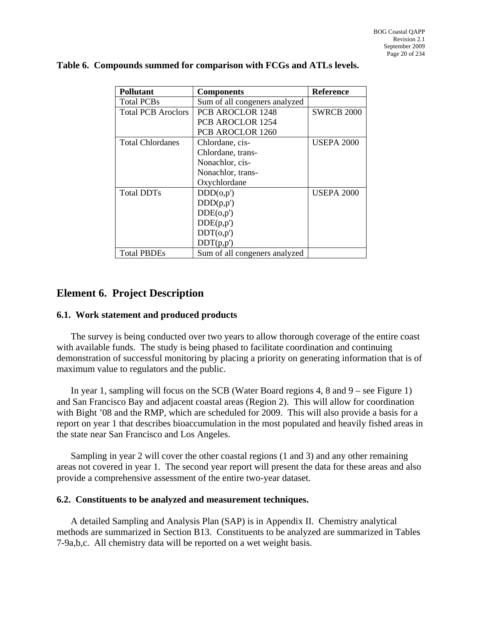| Pollutant                 | <b>Components</b>             | <b>Reference</b>  |
|---------------------------|-------------------------------|-------------------|
| <b>Total PCBs</b>         | Sum of all congeners analyzed |                   |
| <b>Total PCB Aroclors</b> | <b>PCB AROCLOR 1248</b>       | <b>SWRCB 2000</b> |
|                           | PCB AROCLOR 1254              |                   |
|                           | <b>PCB AROCLOR 1260</b>       |                   |
| <b>Total Chlordanes</b>   | Chlordane, cis-               | <b>USEPA 2000</b> |
|                           | Chlordane, trans-             |                   |
|                           | Nonachlor, cis-               |                   |
|                           | Nonachlor, trans-             |                   |
|                           | Oxychlordane                  |                   |
| <b>Total DDTs</b>         | DDD(o,p')                     | <b>USEPA 2000</b> |
|                           | DDD(p,p')                     |                   |
|                           | DDE(o,p')                     |                   |
|                           | DDE(p,p')                     |                   |
|                           | DDT(o,p')                     |                   |
|                           | DDT(p,p')                     |                   |
| <b>Total PBDEs</b>        | Sum of all congeners analyzed |                   |

#### <span id="page-20-0"></span>**Table 6. Compounds summed for comparison with FCGs and ATLs levels.**

# **Element 6. Project Description**

#### **6.1. Work statement and produced products**

The survey is being conducted over two years to allow thorough coverage of the entire coast with available funds. The study is being phased to facilitate coordination and continuing demonstration of successful monitoring by placing a priority on generating information that is of maximum value to regulators and the public.

In year 1, sampling will focus on the SCB (Water Board regions 4, 8 and 9 – see Figure 1) and San Francisco Bay and adjacent coastal areas (Region 2). This will allow for coordination with Bight '08 and the RMP, which are scheduled for 2009. This will also provide a basis for a report on year 1 that describes bioaccumulation in the most populated and heavily fished areas in the state near San Francisco and Los Angeles.

Sampling in year 2 will cover the other coastal regions (1 and 3) and any other remaining areas not covered in year 1. The second year report will present the data for these areas and also provide a comprehensive assessment of the entire two-year dataset.

#### **6.2. Constituents to be analyzed and measurement techniques.**

A detailed Sampling and Analysis Plan (SAP) is in Appendix II. Chemistry analytical methods are summarized in Section B13. Constituents to be analyzed are summarized in Tables 7-9a,b,c. All chemistry data will be reported on a wet weight basis.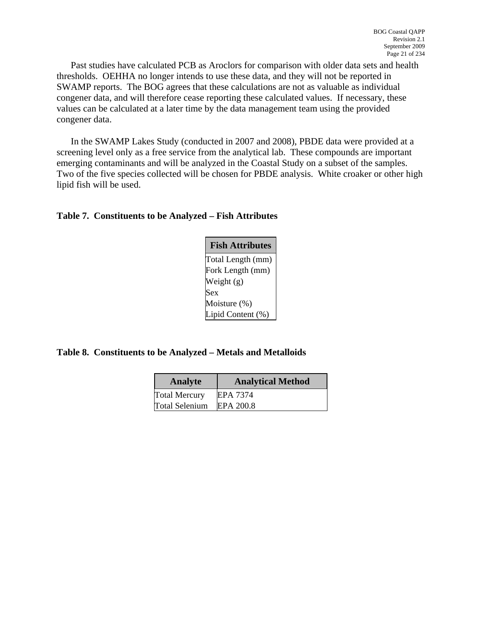<span id="page-21-0"></span>Past studies have calculated PCB as Aroclors for comparison with older data sets and health thresholds. OEHHA no longer intends to use these data, and they will not be reported in SWAMP reports. The BOG agrees that these calculations are not as valuable as individual congener data, and will therefore cease reporting these calculated values. If necessary, these values can be calculated at a later time by the data management team using the provided congener data.

In the SWAMP Lakes Study (conducted in 2007 and 2008), PBDE data were provided at a screening level only as a free service from the analytical lab. These compounds are important emerging contaminants and will be analyzed in the Coastal Study on a subset of the samples. Two of the five species collected will be chosen for PBDE analysis. White croaker or other high lipid fish will be used.

| <b>Fish Attributes</b> |
|------------------------|
| Total Length (mm)      |
| Fork Length (mm)       |
| Weight (g)             |
| Sex                    |
| Moisture (%)           |
| Lipid Content (%)      |

**Table 8. Constituents to be Analyzed – Metals and Metalloids** 

| Analyte               | <b>Analytical Method</b> |
|-----------------------|--------------------------|
| <b>Total Mercury</b>  | <b>EPA 7374</b>          |
| <b>Total Selenium</b> | EPA 200.8                |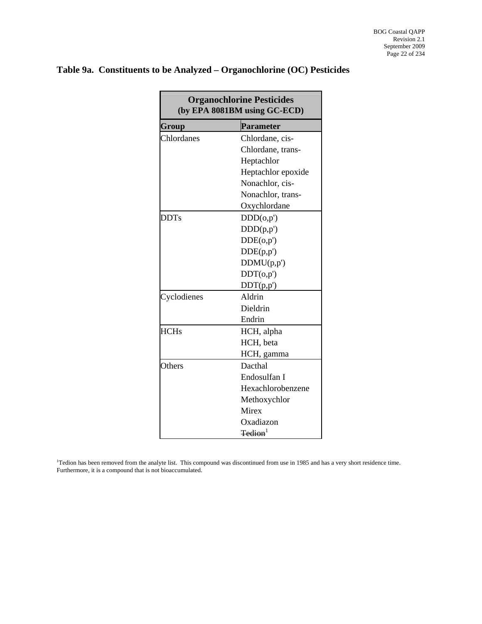<span id="page-22-0"></span>

|  |  |  |  | Table 9a. Constituents to be Analyzed – Organochlorine (OC) Pesticides |
|--|--|--|--|------------------------------------------------------------------------|
|--|--|--|--|------------------------------------------------------------------------|

| <b>Organochlorine Pesticides</b><br>(by EPA 8081BM using GC-ECD) |                    |  |  |  |
|------------------------------------------------------------------|--------------------|--|--|--|
| Group                                                            | <b>Parameter</b>   |  |  |  |
| Chlordanes                                                       | Chlordane, cis-    |  |  |  |
|                                                                  | Chlordane, trans-  |  |  |  |
|                                                                  | Heptachlor         |  |  |  |
|                                                                  | Heptachlor epoxide |  |  |  |
|                                                                  | Nonachlor, cis-    |  |  |  |
|                                                                  | Nonachlor, trans-  |  |  |  |
|                                                                  | Oxychlordane       |  |  |  |
| <b>DDTs</b>                                                      | DDD(o,p')          |  |  |  |
|                                                                  | DDD(p,p')          |  |  |  |
|                                                                  | DDE(o,p')          |  |  |  |
|                                                                  | DDE(p,p')          |  |  |  |
|                                                                  | DDMU(p,p')         |  |  |  |
|                                                                  | DDT(o,p')          |  |  |  |
|                                                                  | DDT(p,p')          |  |  |  |
| Cyclodienes                                                      | Aldrin             |  |  |  |
|                                                                  | Dieldrin           |  |  |  |
|                                                                  | Endrin             |  |  |  |
| <b>HCHs</b>                                                      | HCH, alpha         |  |  |  |
|                                                                  | HCH, beta          |  |  |  |
|                                                                  | HCH, gamma         |  |  |  |
| Others                                                           | Dacthal            |  |  |  |
|                                                                  | Endosulfan I       |  |  |  |
|                                                                  | Hexachlorobenzene  |  |  |  |
|                                                                  | Methoxychlor       |  |  |  |
|                                                                  | Mirex              |  |  |  |
|                                                                  | Oxadiazon          |  |  |  |
|                                                                  | $\text{Tedion}^1$  |  |  |  |

1 Tedion has been removed from the analyte list. This compound was discontinued from use in 1985 and has a very short residence time. Furthermore, it is a compound that is not bioaccumulated.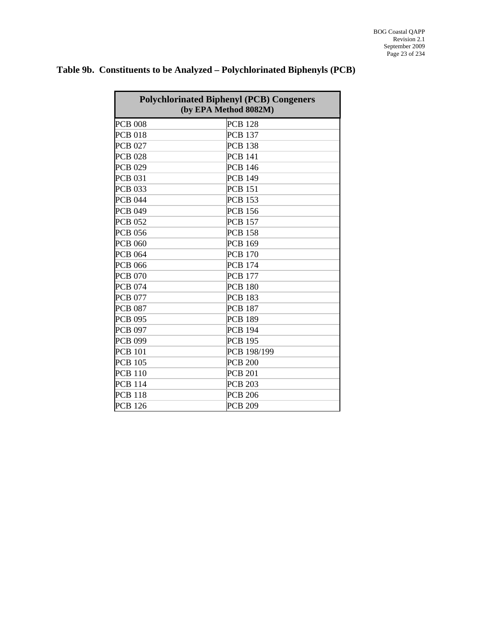| <b>Polychlorinated Biphenyl (PCB) Congeners</b><br>(by EPA Method 8082M) |                |  |  |  |
|--------------------------------------------------------------------------|----------------|--|--|--|
| <b>PCB 008</b>                                                           | <b>PCB 128</b> |  |  |  |
| <b>PCB 018</b>                                                           | <b>PCB 137</b> |  |  |  |
| <b>PCB 027</b>                                                           | <b>PCB 138</b> |  |  |  |
| <b>PCB 028</b>                                                           | <b>PCB 141</b> |  |  |  |
| <b>PCB 029</b>                                                           | <b>PCB 146</b> |  |  |  |
| <b>PCB 031</b>                                                           | <b>PCB 149</b> |  |  |  |
| <b>PCB 033</b>                                                           | <b>PCB 151</b> |  |  |  |
| <b>PCB 044</b>                                                           | <b>PCB 153</b> |  |  |  |
| <b>PCB 049</b>                                                           | <b>PCB 156</b> |  |  |  |
| <b>PCB 052</b>                                                           | <b>PCB 157</b> |  |  |  |
| <b>PCB 056</b>                                                           | <b>PCB 158</b> |  |  |  |
| <b>PCB 060</b>                                                           | <b>PCB 169</b> |  |  |  |
| <b>PCB 064</b>                                                           | <b>PCB 170</b> |  |  |  |
| <b>PCB 066</b>                                                           | <b>PCB 174</b> |  |  |  |
| <b>PCB 070</b>                                                           | <b>PCB 177</b> |  |  |  |
| <b>PCB 074</b>                                                           | <b>PCB 180</b> |  |  |  |
| <b>PCB 077</b>                                                           | <b>PCB 183</b> |  |  |  |
| <b>PCB 087</b>                                                           | <b>PCB 187</b> |  |  |  |
| <b>PCB 095</b>                                                           | <b>PCB 189</b> |  |  |  |
| <b>PCB 097</b>                                                           | <b>PCB 194</b> |  |  |  |
| <b>PCB 099</b>                                                           | <b>PCB 195</b> |  |  |  |
| <b>PCB 101</b>                                                           | PCB 198/199    |  |  |  |
| <b>PCB 105</b>                                                           | <b>PCB 200</b> |  |  |  |
| <b>PCB 110</b>                                                           | <b>PCB 201</b> |  |  |  |
| <b>PCB 114</b>                                                           | <b>PCB 203</b> |  |  |  |
| <b>PCB 118</b>                                                           | <b>PCB 206</b> |  |  |  |
| <b>PCB 126</b>                                                           | <b>PCB 209</b> |  |  |  |

# <span id="page-23-0"></span>**Table 9b. Constituents to be Analyzed – Polychlorinated Biphenyls (PCB)**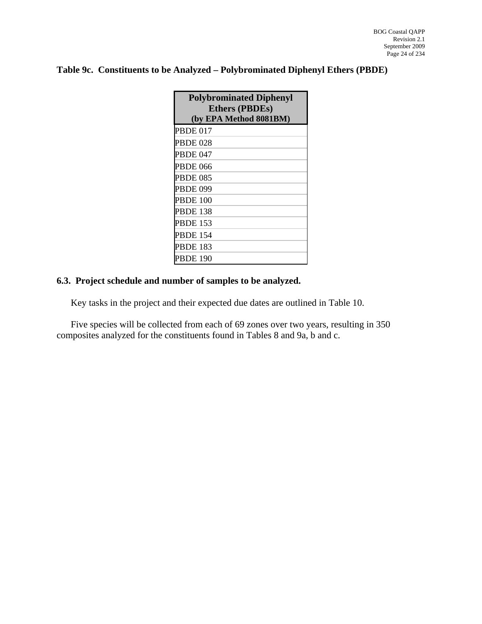# <span id="page-24-0"></span>**Table 9c. Constituents to be Analyzed – Polybrominated Diphenyl Ethers (PBDE)**

| <b>Polybrominated Diphenyl</b><br><b>Ethers (PBDEs)</b><br>(by EPA Method 8081BM) |
|-----------------------------------------------------------------------------------|
| <b>PBDE 017</b>                                                                   |
| <b>PBDE 028</b>                                                                   |
| <b>PBDE 047</b>                                                                   |
| <b>PBDE 066</b>                                                                   |
| <b>PBDE 085</b>                                                                   |
| <b>PBDE 099</b>                                                                   |
| <b>PBDE 100</b>                                                                   |
| <b>PBDE 138</b>                                                                   |
| <b>PBDE 153</b>                                                                   |
| <b>PBDE 154</b>                                                                   |
| <b>PBDE 183</b>                                                                   |
| <b>PBDE 190</b>                                                                   |

## **6.3. Project schedule and number of samples to be analyzed.**

Key tasks in the project and their expected due dates are outlined in Table 10.

Five species will be collected from each of 69 zones over two years, resulting in 350 composites analyzed for the constituents found in Tables 8 and 9a, b and c.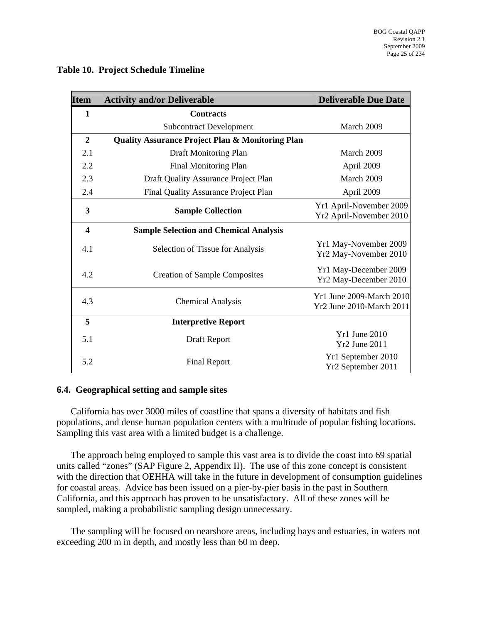| <b>Item</b>             | <b>Activity and/or Deliverable</b>                          | <b>Deliverable Due Date</b>                          |
|-------------------------|-------------------------------------------------------------|------------------------------------------------------|
| $\mathbf{1}$            | <b>Contracts</b>                                            |                                                      |
|                         | <b>Subcontract Development</b>                              | March 2009                                           |
| $\overline{2}$          | <b>Quality Assurance Project Plan &amp; Monitoring Plan</b> |                                                      |
| 2.1                     | Draft Monitoring Plan                                       | March 2009                                           |
| 2.2                     | Final Monitoring Plan                                       | April 2009                                           |
| 2.3                     | Draft Quality Assurance Project Plan                        | March 2009                                           |
| 2.4                     | Final Quality Assurance Project Plan                        | April 2009                                           |
| 3                       | <b>Sample Collection</b>                                    | Yr1 April-November 2009<br>Yr2 April-November 2010   |
| $\overline{\mathbf{4}}$ | <b>Sample Selection and Chemical Analysis</b>               |                                                      |
| 4.1                     | Selection of Tissue for Analysis                            | Yr1 May-November 2009<br>Yr2 May-November 2010       |
| 4.2                     | <b>Creation of Sample Composites</b>                        | Yr1 May-December 2009<br>Yr2 May-December 2010       |
| 4.3                     | <b>Chemical Analysis</b>                                    | Yr1 June 2009-March 2010<br>Yr2 June 2010-March 2011 |
| 5                       | <b>Interpretive Report</b>                                  |                                                      |
| 5.1                     | Draft Report                                                | Yr1 June 2010<br><b>Yr2 June 2011</b>                |
| 5.2                     | <b>Final Report</b>                                         | Yr1 September 2010<br>Yr2 September 2011             |

#### <span id="page-25-0"></span>**Table 10. Project Schedule Timeline**

#### **6.4. Geographical setting and sample sites**

California has over 3000 miles of coastline that spans a diversity of habitats and fish populations, and dense human population centers with a multitude of popular fishing locations. Sampling this vast area with a limited budget is a challenge.

The approach being employed to sample this vast area is to divide the coast into 69 spatial units called "zones" (SAP Figure 2, Appendix II). The use of this zone concept is consistent with the direction that OEHHA will take in the future in development of consumption guidelines for coastal areas. Advice has been issued on a pier-by-pier basis in the past in Southern California, and this approach has proven to be unsatisfactory. All of these zones will be sampled, making a probabilistic sampling design unnecessary.

The sampling will be focused on nearshore areas, including bays and estuaries, in waters not exceeding 200 m in depth, and mostly less than 60 m deep.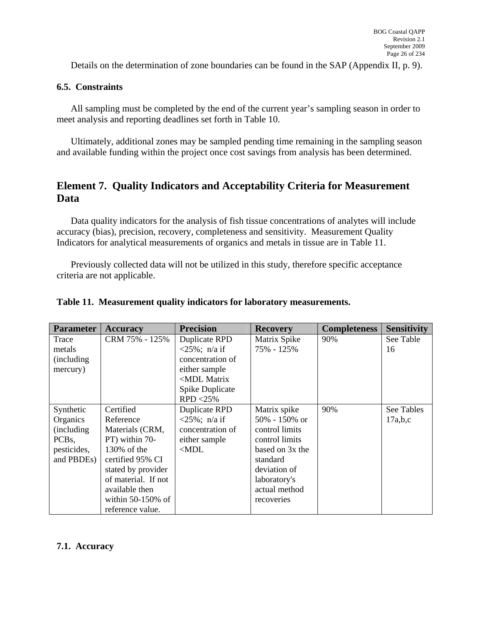<span id="page-26-0"></span>Details on the determination of zone boundaries can be found in the SAP (Appendix II, p. 9).

#### **6.5. Constraints**

All sampling must be completed by the end of the current year's sampling season in order to meet analysis and reporting deadlines set forth in Table 10.

Ultimately, additional zones may be sampled pending time remaining in the sampling season and available funding within the project once cost savings from analysis has been determined.

# **Element 7. Quality Indicators and Acceptability Criteria for Measurement Data**

Data quality indicators for the analysis of fish tissue concentrations of analytes will include accuracy (bias), precision, recovery, completeness and sensitivity. Measurement Quality Indicators for analytical measurements of organics and metals in tissue are in Table 11.

Previously collected data will not be utilized in this study, therefore specific acceptance criteria are not applicable.

| <b>Parameter</b>   | <b>Accuracy</b>      | <b>Precision</b>                                        | <b>Recovery</b> | <b>Completeness</b> | <b>Sensitivity</b> |
|--------------------|----------------------|---------------------------------------------------------|-----------------|---------------------|--------------------|
| Trace              | CRM 75% - 125%       | <b>Duplicate RPD</b>                                    | Matrix Spike    | 90%                 | See Table          |
| metals             |                      | $<$ 25%; n/a if                                         | 75% - 125%      |                     | 16                 |
| <i>(including)</i> |                      | concentration of                                        |                 |                     |                    |
| mercury)           |                      | either sample                                           |                 |                     |                    |
|                    |                      | <mdl matrix<="" td=""><td></td><td></td><td></td></mdl> |                 |                     |                    |
|                    |                      | Spike Duplicate                                         |                 |                     |                    |
|                    |                      | $RPD < 25\%$                                            |                 |                     |                    |
| Synthetic          | Certified            | Duplicate RPD                                           | Matrix spike    | 90%                 | See Tables         |
| Organics           | Reference            | $<$ 25%; n/a if                                         | 50% - 150% or   |                     | 17a,b,c            |
| <i>(including)</i> | Materials (CRM,      | concentration of                                        | control limits  |                     |                    |
| PCB <sub>s</sub>   | PT) within 70-       | either sample                                           | control limits  |                     |                    |
| pesticides,        | 130% of the          | $<$ MDL                                                 | based on 3x the |                     |                    |
| and PBDEs)         | certified 95% CI     |                                                         | standard        |                     |                    |
|                    | stated by provider   |                                                         | deviation of    |                     |                    |
|                    | of material. If not  |                                                         | laboratory's    |                     |                    |
|                    | available then       |                                                         | actual method   |                     |                    |
|                    | within $50-150\%$ of |                                                         | recoveries      |                     |                    |
|                    | reference value.     |                                                         |                 |                     |                    |

#### **Table 11. Measurement quality indicators for laboratory measurements.**

#### **7.1. Accuracy**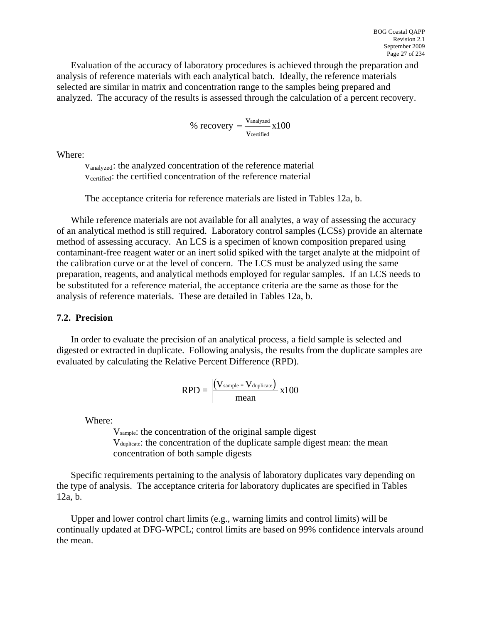Evaluation of the accuracy of laboratory procedures is achieved through the preparation and analysis of reference materials with each analytical batch. Ideally, the reference materials selected are similar in matrix and concentration range to the samples being prepared and analyzed. The accuracy of the results is assessed through the calculation of a percent recovery.

% recovery = 
$$
\frac{V_{analyzed}}{V_{certified}} \times 100
$$

Where:

vanalyzed: the analyzed concentration of the reference material V<sub>certified</sub>: the certified concentration of the reference material

The acceptance criteria for reference materials are listed in Tables 12a, b.

While reference materials are not available for all analytes, a way of assessing the accuracy of an analytical method is still required. Laboratory control samples (LCSs) provide an alternate method of assessing accuracy. An LCS is a specimen of known composition prepared using contaminant-free reagent water or an inert solid spiked with the target analyte at the midpoint of the calibration curve or at the level of concern. The LCS must be analyzed using the same preparation, reagents, and analytical methods employed for regular samples. If an LCS needs to be substituted for a reference material, the acceptance criteria are the same as those for the analysis of reference materials. These are detailed in Tables 12a, b.

#### **7.2. Precision**

In order to evaluate the precision of an analytical process, a field sample is selected and digested or extracted in duplicate. Following analysis, the results from the duplicate samples are evaluated by calculating the Relative Percent Difference (RPD).

$$
RPD = \left| \frac{(V_{\text{sample}} - V_{\text{duplicate}})}{\text{mean}} \right| x100
$$

Where:

Vsample: the concentration of the original sample digest Vduplicate: the concentration of the duplicate sample digest mean: the mean concentration of both sample digests

Specific requirements pertaining to the analysis of laboratory duplicates vary depending on the type of analysis. The acceptance criteria for laboratory duplicates are specified in Tables 12a, b.

Upper and lower control chart limits (e.g., warning limits and control limits) will be continually updated at DFG-WPCL; control limits are based on 99% confidence intervals around the mean.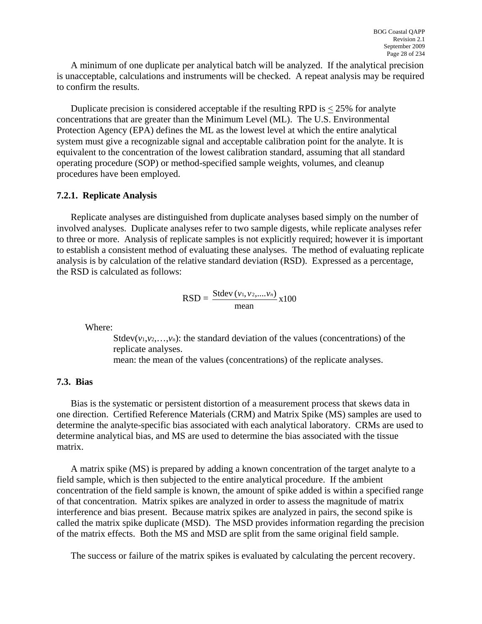A minimum of one duplicate per analytical batch will be analyzed. If the analytical precision is unacceptable, calculations and instruments will be checked. A repeat analysis may be required to confirm the results.

Duplicate precision is considered acceptable if the resulting RPD is  $<$  25% for analyte concentrations that are greater than the Minimum Level (ML). The U.S. Environmental Protection Agency (EPA) defines the ML as the lowest level at which the entire analytical system must give a recognizable signal and acceptable calibration point for the analyte. It is equivalent to the concentration of the lowest calibration standard, assuming that all standard operating procedure (SOP) or method-specified sample weights, volumes, and cleanup procedures have been employed.

#### **7.2.1. Replicate Analysis**

Replicate analyses are distinguished from duplicate analyses based simply on the number of involved analyses. Duplicate analyses refer to two sample digests, while replicate analyses refer to three or more. Analysis of replicate samples is not explicitly required; however it is important to establish a consistent method of evaluating these analyses. The method of evaluating replicate analysis is by calculation of the relative standard deviation (RSD). Expressed as a percentage, the RSD is calculated as follows:

$$
RSD = \frac{Stdev(v_1, v_2, \dots, v_n)}{mean} x100
$$

Where:

Stdev( $v_1, v_2, \ldots, v_n$ ): the standard deviation of the values (concentrations) of the replicate analyses. mean: the mean of the values (concentrations) of the replicate analyses.

#### **7.3. Bias**

Bias is the systematic or persistent distortion of a measurement process that skews data in one direction. Certified Reference Materials (CRM) and Matrix Spike (MS) samples are used to determine the analyte-specific bias associated with each analytical laboratory. CRMs are used to determine analytical bias, and MS are used to determine the bias associated with the tissue matrix.

A matrix spike (MS) is prepared by adding a known concentration of the target analyte to a field sample, which is then subjected to the entire analytical procedure. If the ambient concentration of the field sample is known, the amount of spike added is within a specified range of that concentration. Matrix spikes are analyzed in order to assess the magnitude of matrix interference and bias present. Because matrix spikes are analyzed in pairs, the second spike is called the matrix spike duplicate (MSD). The MSD provides information regarding the precision of the matrix effects. Both the MS and MSD are split from the same original field sample.

The success or failure of the matrix spikes is evaluated by calculating the percent recovery.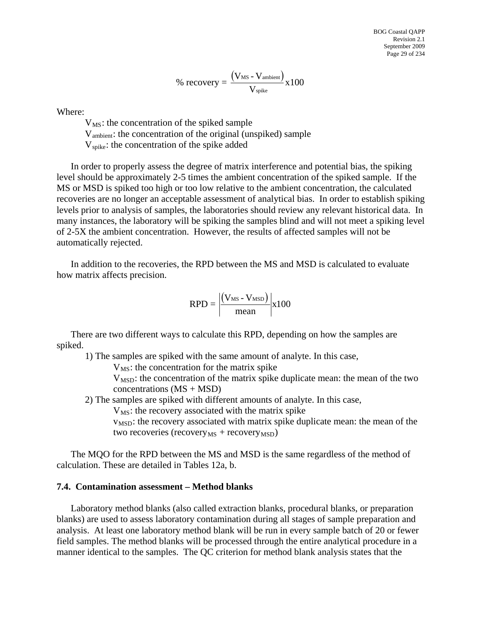$$
\% \ \text{recovery} = \frac{\left(V_{\text{MS}} - V_{\text{ambient}}\right)}{V_{\text{spike}}}x100
$$

Where:

 $V_{MS}$ : the concentration of the spiked sample Vambient: the concentration of the original (unspiked) sample  $V_{\text{spike}}$ : the concentration of the spike added

In order to properly assess the degree of matrix interference and potential bias, the spiking level should be approximately 2-5 times the ambient concentration of the spiked sample. If the MS or MSD is spiked too high or too low relative to the ambient concentration, the calculated recoveries are no longer an acceptable assessment of analytical bias. In order to establish spiking levels prior to analysis of samples, the laboratories should review any relevant historical data. In many instances, the laboratory will be spiking the samples blind and will not meet a spiking level of 2-5X the ambient concentration. However, the results of affected samples will not be automatically rejected.

In addition to the recoveries, the RPD between the MS and MSD is calculated to evaluate how matrix affects precision.

$$
RPD = \left| \frac{(V_{MS} - V_{MSD})}{mean} \right| x100
$$

There are two different ways to calculate this RPD, depending on how the samples are spiked.

1) The samples are spiked with the same amount of analyte. In this case,

 $V_{\text{MS}}$ : the concentration for the matrix spike

 $V<sub>MSD</sub>$ : the concentration of the matrix spike duplicate mean: the mean of the two  $concentrations (MS + MSD)$ 

2) The samples are spiked with different amounts of analyte. In this case,

 $V_{MS}$ : the recovery associated with the matrix spike

 $v<sub>MSD</sub>$ : the recovery associated with matrix spike duplicate mean: the mean of the two recoveries (recovery<sub>MS</sub> + recovery<sub>MSD</sub>)

The MQO for the RPD between the MS and MSD is the same regardless of the method of calculation. These are detailed in Tables 12a, b.

#### **7.4. Contamination assessment – Method blanks**

Laboratory method blanks (also called extraction blanks, procedural blanks, or preparation blanks) are used to assess laboratory contamination during all stages of sample preparation and analysis. At least one laboratory method blank will be run in every sample batch of 20 or fewer field samples. The method blanks will be processed through the entire analytical procedure in a manner identical to the samples. The QC criterion for method blank analysis states that the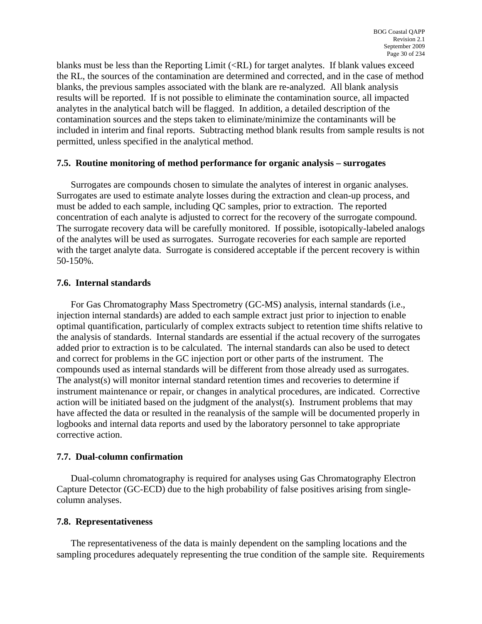blanks must be less than the Reporting Limit (<RL) for target analytes. If blank values exceed the RL, the sources of the contamination are determined and corrected, and in the case of method blanks, the previous samples associated with the blank are re-analyzed. All blank analysis results will be reported. If is not possible to eliminate the contamination source, all impacted analytes in the analytical batch will be flagged. In addition, a detailed description of the contamination sources and the steps taken to eliminate/minimize the contaminants will be included in interim and final reports. Subtracting method blank results from sample results is not permitted, unless specified in the analytical method.

#### **7.5. Routine monitoring of method performance for organic analysis – surrogates**

Surrogates are compounds chosen to simulate the analytes of interest in organic analyses. Surrogates are used to estimate analyte losses during the extraction and clean-up process, and must be added to each sample, including QC samples, prior to extraction. The reported concentration of each analyte is adjusted to correct for the recovery of the surrogate compound. The surrogate recovery data will be carefully monitored. If possible, isotopically-labeled analogs of the analytes will be used as surrogates. Surrogate recoveries for each sample are reported with the target analyte data. Surrogate is considered acceptable if the percent recovery is within 50-150%.

#### **7.6. Internal standards**

For Gas Chromatography Mass Spectrometry (GC-MS) analysis, internal standards (i.e., injection internal standards) are added to each sample extract just prior to injection to enable optimal quantification, particularly of complex extracts subject to retention time shifts relative to the analysis of standards. Internal standards are essential if the actual recovery of the surrogates added prior to extraction is to be calculated. The internal standards can also be used to detect and correct for problems in the GC injection port or other parts of the instrument. The compounds used as internal standards will be different from those already used as surrogates. The analyst(s) will monitor internal standard retention times and recoveries to determine if instrument maintenance or repair, or changes in analytical procedures, are indicated. Corrective action will be initiated based on the judgment of the analyst(s). Instrument problems that may have affected the data or resulted in the reanalysis of the sample will be documented properly in logbooks and internal data reports and used by the laboratory personnel to take appropriate corrective action.

#### **7.7. Dual-column confirmation**

Dual-column chromatography is required for analyses using Gas Chromatography Electron Capture Detector (GC-ECD) due to the high probability of false positives arising from singlecolumn analyses.

#### **7.8. Representativeness**

The representativeness of the data is mainly dependent on the sampling locations and the sampling procedures adequately representing the true condition of the sample site. Requirements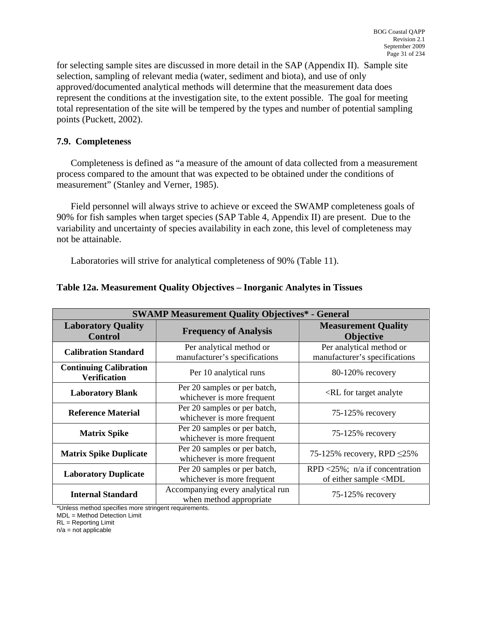<span id="page-31-0"></span>for selecting sample sites are discussed in more detail in the SAP (Appendix II). Sample site selection, sampling of relevant media (water, sediment and biota), and use of only approved/documented analytical methods will determine that the measurement data does represent the conditions at the investigation site, to the extent possible. The goal for meeting total representation of the site will be tempered by the types and number of potential sampling points (Puckett, 2002).

#### **7.9. Completeness**

Completeness is defined as "a measure of the amount of data collected from a measurement process compared to the amount that was expected to be obtained under the conditions of measurement" (Stanley and Verner, 1985).

Field personnel will always strive to achieve or exceed the SWAMP completeness goals of 90% for fish samples when target species (SAP Table 4, Appendix II) are present. Due to the variability and uncertainty of species availability in each zone, this level of completeness may not be attainable.

Laboratories will strive for analytical completeness of 90% (Table 11).

| <b>SWAMP Measurement Quality Objectives* - General</b>                         |                                                              |                                                                          |  |  |  |
|--------------------------------------------------------------------------------|--------------------------------------------------------------|--------------------------------------------------------------------------|--|--|--|
| <b>Laboratory Quality</b><br><b>Control</b>                                    | <b>Frequency of Analysis</b>                                 | <b>Measurement Quality</b><br><b>Objective</b>                           |  |  |  |
| <b>Calibration Standard</b>                                                    | Per analytical method or<br>manufacturer's specifications    | Per analytical method or<br>manufacturer's specifications                |  |  |  |
| <b>Continuing Calibration</b><br>Per 10 analytical runs<br><b>Verification</b> |                                                              | $80-120%$ recovery                                                       |  |  |  |
| <b>Laboratory Blank</b>                                                        | Per 20 samples or per batch,<br>whichever is more frequent   | <rl analyte<="" for="" target="" th=""></rl>                             |  |  |  |
| <b>Reference Material</b>                                                      | Per 20 samples or per batch,<br>whichever is more frequent   | 75-125% recovery                                                         |  |  |  |
| <b>Matrix Spike</b>                                                            | Per 20 samples or per batch,<br>whichever is more frequent   | 75-125% recovery                                                         |  |  |  |
| <b>Matrix Spike Duplicate</b>                                                  | Per 20 samples or per batch,<br>whichever is more frequent   | 75-125% recovery, RPD $\leq$ 25%                                         |  |  |  |
| <b>Laboratory Duplicate</b>                                                    | Per 20 samples or per batch,<br>whichever is more frequent   | RPD <25%; $n/a$ if concentration<br>of either sample <mdl< th=""></mdl<> |  |  |  |
| <b>Internal Standard</b>                                                       | Accompanying every analytical run<br>when method appropriate | 75-125% recovery                                                         |  |  |  |

#### **Table 12a. Measurement Quality Objectives – Inorganic Analytes in Tissues**

\*Unless method specifies more stringent requirements.

MDL = Method Detection Limit

RL = Reporting Limit

 $n/a$  = not applicable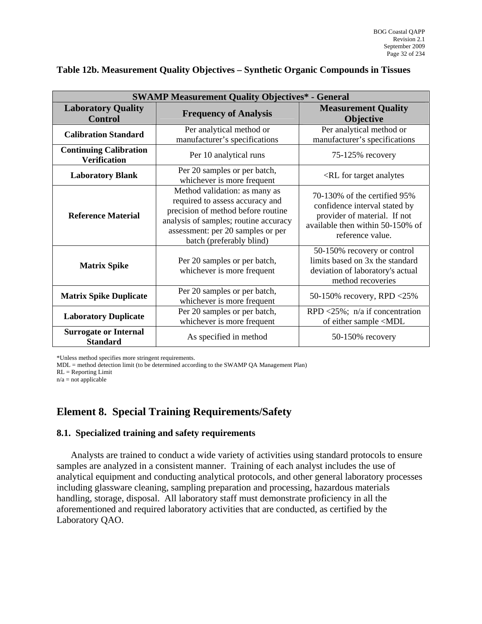| <b>SWAMP Measurement Quality Objectives* - General</b> |                                                                                                                                                                                                                  |                                                                                                                                                       |  |  |  |
|--------------------------------------------------------|------------------------------------------------------------------------------------------------------------------------------------------------------------------------------------------------------------------|-------------------------------------------------------------------------------------------------------------------------------------------------------|--|--|--|
| <b>Laboratory Quality</b><br><b>Control</b>            | <b>Frequency of Analysis</b>                                                                                                                                                                                     | <b>Measurement Quality</b><br><b>Objective</b>                                                                                                        |  |  |  |
| <b>Calibration Standard</b>                            | Per analytical method or<br>manufacturer's specifications                                                                                                                                                        | Per analytical method or<br>manufacturer's specifications                                                                                             |  |  |  |
| <b>Continuing Calibration</b><br><b>Verification</b>   | Per 10 analytical runs                                                                                                                                                                                           | 75-125% recovery                                                                                                                                      |  |  |  |
| <b>Laboratory Blank</b>                                | Per 20 samples or per batch,<br>whichever is more frequent                                                                                                                                                       | <rl analytes<="" for="" target="" th=""></rl>                                                                                                         |  |  |  |
| <b>Reference Material</b>                              | Method validation: as many as<br>required to assess accuracy and<br>precision of method before routine<br>analysis of samples; routine accuracy<br>assessment: per 20 samples or per<br>batch (preferably blind) | 70-130% of the certified 95%<br>confidence interval stated by<br>provider of material. If not<br>available then within 50-150% of<br>reference value. |  |  |  |
| <b>Matrix Spike</b>                                    | Per 20 samples or per batch,<br>whichever is more frequent                                                                                                                                                       | 50-150% recovery or control<br>limits based on 3x the standard<br>deviation of laboratory's actual<br>method recoveries                               |  |  |  |
| <b>Matrix Spike Duplicate</b>                          | Per 20 samples or per batch,<br>whichever is more frequent                                                                                                                                                       | 50-150% recovery, RPD <25%                                                                                                                            |  |  |  |
| <b>Laboratory Duplicate</b>                            | Per 20 samples or per batch,<br>whichever is more frequent                                                                                                                                                       | RPD <25%; $n/a$ if concentration<br>of either sample <mdl< th=""></mdl<>                                                                              |  |  |  |
| <b>Surrogate or Internal</b><br><b>Standard</b>        | As specified in method                                                                                                                                                                                           | 50-150% recovery                                                                                                                                      |  |  |  |

#### <span id="page-32-0"></span>**Table 12b. Measurement Quality Objectives – Synthetic Organic Compounds in Tissues**

\*Unless method specifies more stringent requirements.

MDL = method detection limit (to be determined according to the SWAMP QA Management Plan)

RL = Reporting Limit

 $n/a$  = not applicable

# **Element 8. Special Training Requirements/Safety**

#### **8.1. Specialized training and safety requirements**

Analysts are trained to conduct a wide variety of activities using standard protocols to ensure samples are analyzed in a consistent manner. Training of each analyst includes the use of analytical equipment and conducting analytical protocols, and other general laboratory processes including glassware cleaning, sampling preparation and processing, hazardous materials handling, storage, disposal. All laboratory staff must demonstrate proficiency in all the aforementioned and required laboratory activities that are conducted, as certified by the Laboratory QAO.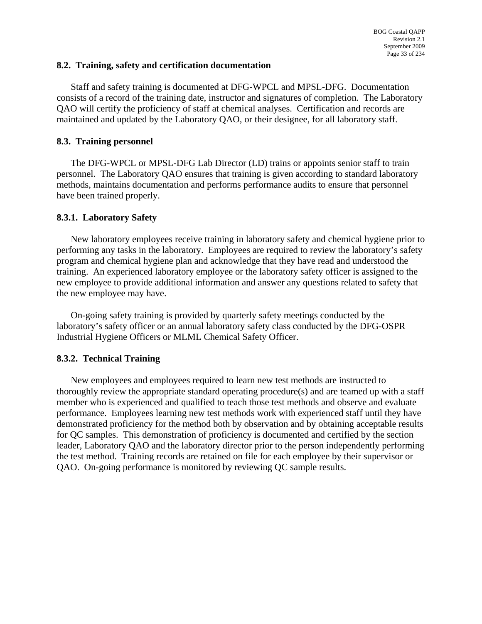#### **8.2. Training, safety and certification documentation**

Staff and safety training is documented at DFG-WPCL and MPSL-DFG. Documentation consists of a record of the training date, instructor and signatures of completion. The Laboratory QAO will certify the proficiency of staff at chemical analyses. Certification and records are maintained and updated by the Laboratory QAO, or their designee, for all laboratory staff.

#### **8.3. Training personnel**

The DFG-WPCL or MPSL-DFG Lab Director (LD) trains or appoints senior staff to train personnel. The Laboratory QAO ensures that training is given according to standard laboratory methods, maintains documentation and performs performance audits to ensure that personnel have been trained properly.

#### **8.3.1. Laboratory Safety**

New laboratory employees receive training in laboratory safety and chemical hygiene prior to performing any tasks in the laboratory. Employees are required to review the laboratory's safety program and chemical hygiene plan and acknowledge that they have read and understood the training. An experienced laboratory employee or the laboratory safety officer is assigned to the new employee to provide additional information and answer any questions related to safety that the new employee may have.

On-going safety training is provided by quarterly safety meetings conducted by the laboratory's safety officer or an annual laboratory safety class conducted by the DFG-OSPR Industrial Hygiene Officers or MLML Chemical Safety Officer.

#### **8.3.2. Technical Training**

New employees and employees required to learn new test methods are instructed to thoroughly review the appropriate standard operating procedure(s) and are teamed up with a staff member who is experienced and qualified to teach those test methods and observe and evaluate performance. Employees learning new test methods work with experienced staff until they have demonstrated proficiency for the method both by observation and by obtaining acceptable results for QC samples. This demonstration of proficiency is documented and certified by the section leader, Laboratory QAO and the laboratory director prior to the person independently performing the test method. Training records are retained on file for each employee by their supervisor or QAO. On-going performance is monitored by reviewing QC sample results.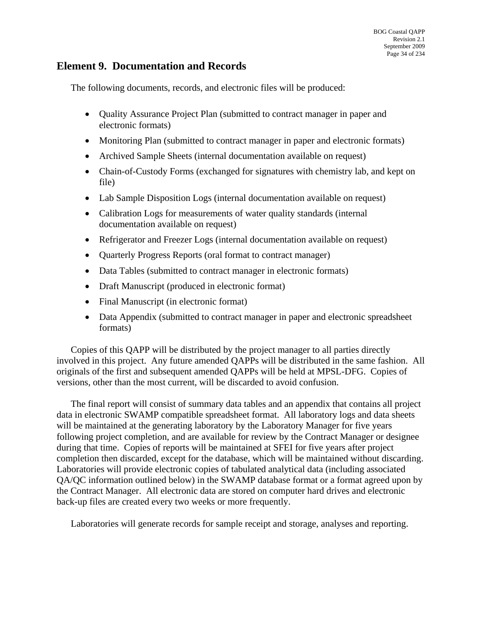# <span id="page-34-0"></span>**Element 9. Documentation and Records**

The following documents, records, and electronic files will be produced:

- Ouality Assurance Project Plan (submitted to contract manager in paper and electronic formats)
- Monitoring Plan (submitted to contract manager in paper and electronic formats)
- Archived Sample Sheets (internal documentation available on request)
- Chain-of-Custody Forms (exchanged for signatures with chemistry lab, and kept on file)
- Lab Sample Disposition Logs (internal documentation available on request)
- Calibration Logs for measurements of water quality standards (internal documentation available on request)
- Refrigerator and Freezer Logs (internal documentation available on request)
- Quarterly Progress Reports (oral format to contract manager)
- Data Tables (submitted to contract manager in electronic formats)
- Draft Manuscript (produced in electronic format)
- Final Manuscript (in electronic format)
- Data Appendix (submitted to contract manager in paper and electronic spreadsheet formats)

Copies of this QAPP will be distributed by the project manager to all parties directly involved in this project. Any future amended QAPPs will be distributed in the same fashion. All originals of the first and subsequent amended QAPPs will be held at MPSL-DFG. Copies of versions, other than the most current, will be discarded to avoid confusion.

The final report will consist of summary data tables and an appendix that contains all project data in electronic SWAMP compatible spreadsheet format. All laboratory logs and data sheets will be maintained at the generating laboratory by the Laboratory Manager for five years following project completion, and are available for review by the Contract Manager or designee during that time. Copies of reports will be maintained at SFEI for five years after project completion then discarded, except for the database, which will be maintained without discarding. Laboratories will provide electronic copies of tabulated analytical data (including associated QA/QC information outlined below) in the SWAMP database format or a format agreed upon by the Contract Manager. All electronic data are stored on computer hard drives and electronic back-up files are created every two weeks or more frequently.

Laboratories will generate records for sample receipt and storage, analyses and reporting.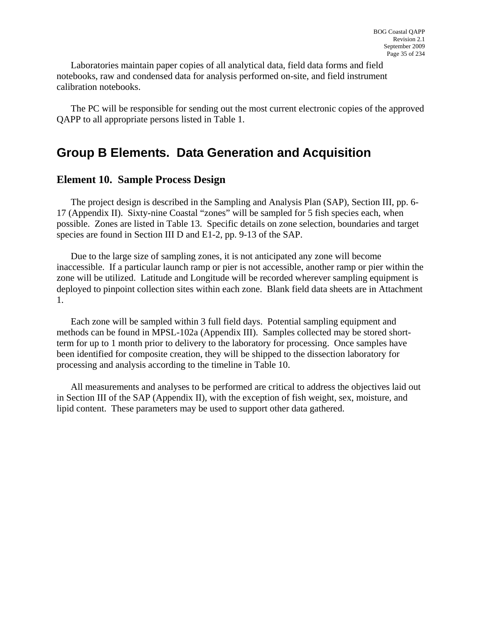<span id="page-35-0"></span>Laboratories maintain paper copies of all analytical data, field data forms and field notebooks, raw and condensed data for analysis performed on-site, and field instrument calibration notebooks.

The PC will be responsible for sending out the most current electronic copies of the approved QAPP to all appropriate persons listed in Table 1.

# **Group B Elements. Data Generation and Acquisition**

#### **Element 10. Sample Process Design**

The project design is described in the Sampling and Analysis Plan (SAP), Section III, pp. 6- 17 (Appendix II). Sixty-nine Coastal "zones" will be sampled for 5 fish species each, when possible. Zones are listed in Table 13. Specific details on zone selection, boundaries and target species are found in Section III D and E1-2, pp. 9-13 of the SAP.

Due to the large size of sampling zones, it is not anticipated any zone will become inaccessible. If a particular launch ramp or pier is not accessible, another ramp or pier within the zone will be utilized. Latitude and Longitude will be recorded wherever sampling equipment is deployed to pinpoint collection sites within each zone. Blank field data sheets are in Attachment 1.

Each zone will be sampled within 3 full field days. Potential sampling equipment and methods can be found in MPSL-102a (Appendix III). Samples collected may be stored shortterm for up to 1 month prior to delivery to the laboratory for processing. Once samples have been identified for composite creation, they will be shipped to the dissection laboratory for processing and analysis according to the timeline in Table 10.

All measurements and analyses to be performed are critical to address the objectives laid out in Section III of the SAP (Appendix II), with the exception of fish weight, sex, moisture, and lipid content. These parameters may be used to support other data gathered.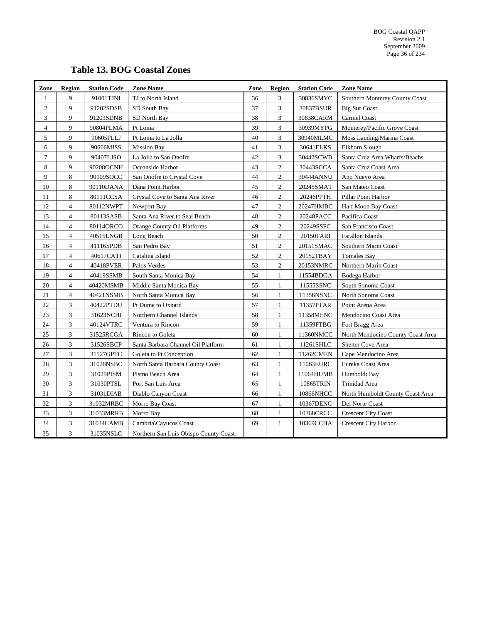# **Table 13. BOG Coastal Zones**

<span id="page-36-0"></span>

| Zone           | <b>Region</b>  | <b>Station Code</b> | <b>Zone Name</b>                      | Zone | <b>Region</b>  | <b>Station Code</b> | <b>Zone Name</b>                  |
|----------------|----------------|---------------------|---------------------------------------|------|----------------|---------------------|-----------------------------------|
| $\mathbf{1}$   | 9              | 91001TJNI           | TJ to North Island                    | 36   | 3              | 30836SMYC           | Southern Monterey County Coast    |
| $\sqrt{2}$     | 9              | 91202SDSB           | SD South Bay                          | 37   | 3              | 30837BSUR           | <b>Big Sur Coast</b>              |
| 3              | 9              | 91203SDNB           | SD North Bay                          | 38   | 3              | 30838CARM           | Carmel Coast                      |
| $\overline{4}$ | 9              | 90804PLMA           | Pt Loma                               | 39   | 3              | 30939MYPG           | Monterey/Pacific Grove Coast      |
| 5              | 9              | 90605PLLJ           | Pt Loma to La Jolla                   | 40   | 3              | 30940MLMC           | Moss Landing/Marina Coast         |
| 6              | 9              | 90606MISS           | <b>Mission Bay</b>                    | 41   | 3              | 30641ELKS           | Elkhorn Slough                    |
| $\overline{7}$ | 9              | 90407LJSO           | La Jolla to San Onofre                | 42   | 3              | 30442SCWB           | Santa Cruz Area Wharfs/Beachs     |
| 8              | 9              | 90208OCNH           | Oceanside Harbor                      | 43   | $\overline{c}$ | 30443SCCA           | Santa Cruz Coast Area             |
| 9              | 8              | 90109SOCC           | San Onofre to Crystal Cove            | 44   | $\overline{2}$ | 30444ANNU           | Ano Nuevo Area                    |
| 10             | 8              | 90110DANA           | Dana Point Harbor                     | 45   | $\overline{c}$ | 20245SMAT           | San Mateo Coast                   |
| 11             | 8              | 80111CCSA           | Crystal Cove to Santa Ana River       | 46   | $\mathbf{2}$   | 20246PPTH           | Pillar Point Harbor               |
| 12             | $\overline{4}$ | 80112NWPT           | Newport Bay                           | 47   | $\overline{c}$ | 20247HMBC           | <b>Half Moon Bay Coast</b>        |
| 13             | $\overline{4}$ | 80113SASB           | Santa Ana River to Seal Beach         | 48   | $\overline{c}$ | 20248PACC           | Pacifica Coast                    |
| 14             | $\overline{4}$ | 80114ORCO           | Orange County Oil Platforms           | 49   | $\overline{c}$ | 20249SSFC           | San Francisco Coast               |
| 15             | $\overline{4}$ | 40515LNGB           | Long Beach                            | 50   | $\overline{c}$ | 20150FARI           | Farallon Islands                  |
| 16             | $\overline{4}$ | 41116SPDB           | San Pedro Bay                         | 51   | $\overline{c}$ | 20151SMAC           | Southern Marin Coast              |
| 17             | $\overline{4}$ | 40617CATI           | Catalina Island                       | 52   | $\overline{c}$ | 20152TBAY           | <b>Tomales Bay</b>                |
| 18             | $\overline{4}$ | 40418PVER           | Palos Verdes                          | 53   | $\overline{c}$ | 20153NMRC           | Northern Marin Coast              |
| 19             | $\overline{4}$ | 40419SSMB           | South Santa Monica Bay                | 54   | $\mathbf{1}$   | 11554BDGA           | Bodega Harbor                     |
| 20             | $\overline{4}$ | 40420MSMB           | Middle Santa Monica Bay               | 55   | $\mathbf{1}$   | 11555SSNC           | South Sonoma Coast                |
| 21             | $\overline{4}$ | 40421NSMB           | North Santa Monica Bay                | 56   | $\mathbf{1}$   | 11356NSNC           | North Sonoma Coast                |
| $22\,$         | 3              | 40422PTDU           | Pt Dume to Oxnard                     | 57   | $\mathbf{1}$   | 11357PTAR           | Point Arena Area                  |
| 23             | 3              | 31623NCHI           | Northern Channel Islands              | 58   | $\mathbf{1}$   | 11358MENC           | Mendocino Coast Area              |
| 24             | 3              | 40124VTRC           | Ventura to Rincon                     | 59   | $\mathbf{1}$   | 11359FTBG           | Fort Bragg Area                   |
| 25             | 3              | 31525RCGA           | Rincon to Goleta                      | 60   | $\mathbf{1}$   | 11360NMCC           | North Mendocino County Coast Area |
| 26             | 3              | 31526SBCP           | Santa Barbara Channel Oil Platform    | 61   | $\mathbf{1}$   | 11261SHLC           | Shelter Cove Area                 |
| 27             | 3              | 31527GPTC           | Goleta to Pt Conception               | 62   | 1              | 11262CMEN           | Cape Mendocino Area               |
| $28\,$         | $\mathfrak{Z}$ | 31028NSBC           | North Santa Barbara County Coast      | 63   | $\mathbf{1}$   | 11063EURC           | Eureka Coast Area                 |
| 29             | 3              | 31029PISM           | Pismo Beach Area                      | 64   | 1              | 11064HUMB           | Humboldt Bay                      |
| 30             | 3              | 31030PTSL           | Port San Luis Area                    | 65   | $\mathbf{1}$   | 10865TRIN           | Trinidad Area                     |
| 31             | 3              | 31031DIAB           | Diablo Canyon Coast                   | 66   | $\mathbf{1}$   | 10866NHCC           | North Humboldt County Coast Area  |
| 32             | 3              | 31032MRBC           | Morro Bay Coast                       | 67   | $\mathbf{1}$   | 10367DENC           | Del Norte Coast                   |
| 33             | 3              | 31033MRRB           | Morro Bay                             | 68   | 1              | 10368CRCC           | <b>Crescent City Coast</b>        |
| 34             | 3              | 31034CAMB           | Cambria\Cayucos Coast                 | 69   | $\mathbf{1}$   | 10369CCHA           | <b>Crescent City Harbor</b>       |
| 35             | 3              | 31035NSLC           | Northern San Luis Obispo County Coast |      |                |                     |                                   |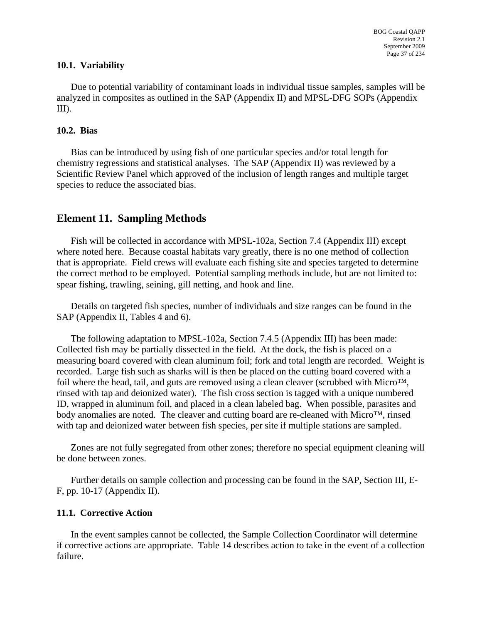#### <span id="page-37-0"></span>**10.1. Variability**

Due to potential variability of contaminant loads in individual tissue samples, samples will be analyzed in composites as outlined in the SAP (Appendix II) and MPSL-DFG SOPs (Appendix III).

#### **10.2. Bias**

Bias can be introduced by using fish of one particular species and/or total length for chemistry regressions and statistical analyses. The SAP (Appendix II) was reviewed by a Scientific Review Panel which approved of the inclusion of length ranges and multiple target species to reduce the associated bias.

# **Element 11. Sampling Methods**

Fish will be collected in accordance with MPSL-102a, Section 7.4 (Appendix III) except where noted here. Because coastal habitats vary greatly, there is no one method of collection that is appropriate. Field crews will evaluate each fishing site and species targeted to determine the correct method to be employed. Potential sampling methods include, but are not limited to: spear fishing, trawling, seining, gill netting, and hook and line.

Details on targeted fish species, number of individuals and size ranges can be found in the SAP (Appendix II, Tables 4 and 6).

The following adaptation to MPSL-102a, Section 7.4.5 (Appendix III) has been made: Collected fish may be partially dissected in the field. At the dock, the fish is placed on a measuring board covered with clean aluminum foil; fork and total length are recorded. Weight is recorded. Large fish such as sharks will is then be placed on the cutting board covered with a foil where the head, tail, and guts are removed using a clean cleaver (scrubbed with Micro™, rinsed with tap and deionized water). The fish cross section is tagged with a unique numbered ID, wrapped in aluminum foil, and placed in a clean labeled bag. When possible, parasites and body anomalies are noted. The cleaver and cutting board are re-cleaned with Micro™, rinsed with tap and deionized water between fish species, per site if multiple stations are sampled.

Zones are not fully segregated from other zones; therefore no special equipment cleaning will be done between zones.

Further details on sample collection and processing can be found in the SAP, Section III, E-F, pp. 10-17 (Appendix II).

#### **11.1. Corrective Action**

In the event samples cannot be collected, the Sample Collection Coordinator will determine if corrective actions are appropriate. Table 14 describes action to take in the event of a collection failure.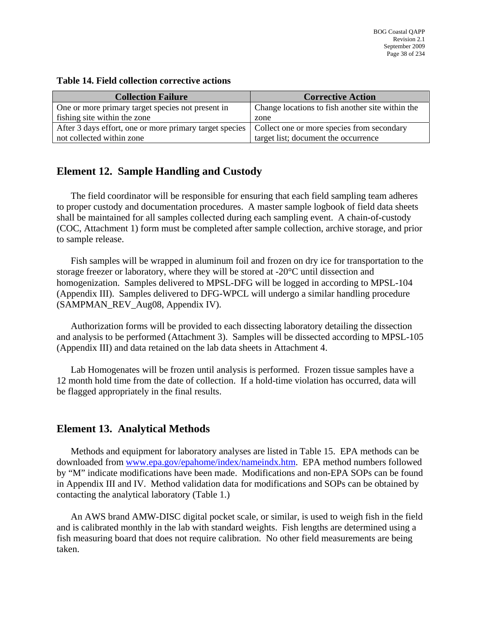| <b>Collection Failure</b>                                                                            | <b>Corrective Action</b>                         |
|------------------------------------------------------------------------------------------------------|--------------------------------------------------|
| One or more primary target species not present in                                                    | Change locations to fish another site within the |
| fishing site within the zone                                                                         | zone                                             |
| After 3 days effort, one or more primary target species   Collect one or more species from secondary |                                                  |
| not collected within zone                                                                            | target list; document the occurrence             |

#### <span id="page-38-0"></span>**Table 14. Field collection corrective actions**

# **Element 12. Sample Handling and Custody**

The field coordinator will be responsible for ensuring that each field sampling team adheres to proper custody and documentation procedures. A master sample logbook of field data sheets shall be maintained for all samples collected during each sampling event. A chain-of-custody (COC, Attachment 1) form must be completed after sample collection, archive storage, and prior to sample release.

Fish samples will be wrapped in aluminum foil and frozen on dry ice for transportation to the storage freezer or laboratory, where they will be stored at -20°C until dissection and homogenization. Samples delivered to MPSL-DFG will be logged in according to MPSL-104 (Appendix III). Samples delivered to DFG-WPCL will undergo a similar handling procedure (SAMPMAN\_REV\_Aug08, Appendix IV).

Authorization forms will be provided to each dissecting laboratory detailing the dissection and analysis to be performed (Attachment 3). Samples will be dissected according to MPSL-105 (Appendix III) and data retained on the lab data sheets in Attachment 4.

Lab Homogenates will be frozen until analysis is performed. Frozen tissue samples have a 12 month hold time from the date of collection. If a hold-time violation has occurred, data will be flagged appropriately in the final results.

# **Element 13. Analytical Methods**

Methods and equipment for laboratory analyses are listed in Table 15. EPA methods can be downloaded from [www.epa.gov/epahome/index/nameindx.htm.](http://www.epa.gov/epahome/index/nameindx.htm) EPA method numbers followed by "M" indicate modifications have been made. Modifications and non-EPA SOPs can be found in Appendix III and IV. Method validation data for modifications and SOPs can be obtained by contacting the analytical laboratory (Table 1.)

An AWS brand AMW-DISC digital pocket scale, or similar, is used to weigh fish in the field and is calibrated monthly in the lab with standard weights. Fish lengths are determined using a fish measuring board that does not require calibration. No other field measurements are being taken.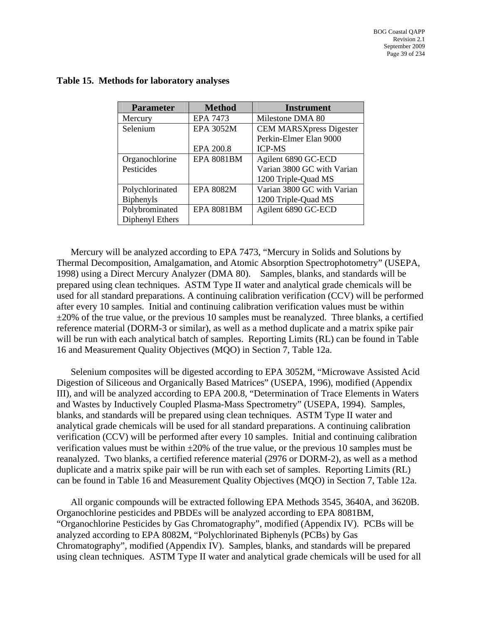| <b>Parameter</b> | <b>Method</b>     | <b>Instrument</b>              |
|------------------|-------------------|--------------------------------|
| Mercury          | EPA 7473          | Milestone DMA 80               |
| Selenium         | <b>EPA 3052M</b>  | <b>CEM MARSXpress Digester</b> |
|                  |                   | Perkin-Elmer Elan 9000         |
|                  | EPA 200.8         | <b>ICP-MS</b>                  |
| Organochlorine   | <b>EPA 8081BM</b> | Agilent 6890 GC-ECD            |
| Pesticides       |                   | Varian 3800 GC with Varian     |
|                  |                   | 1200 Triple-Quad MS            |
| Polychlorinated  | <b>EPA 8082M</b>  | Varian 3800 GC with Varian     |
| <b>Biphenyls</b> |                   | 1200 Triple-Quad MS            |
| Polybrominated   | <b>EPA 8081BM</b> | Agilent 6890 GC-ECD            |
| Diphenyl Ethers  |                   |                                |

#### <span id="page-39-0"></span>**Table 15. Methods for laboratory analyses**

Mercury will be analyzed according to EPA 7473, "Mercury in Solids and Solutions by Thermal Decomposition, Amalgamation, and Atomic Absorption Spectrophotometry" (USEPA, 1998) using a Direct Mercury Analyzer (DMA 80). Samples, blanks, and standards will be prepared using clean techniques. ASTM Type II water and analytical grade chemicals will be used for all standard preparations. A continuing calibration verification (CCV) will be performed after every 10 samples. Initial and continuing calibration verification values must be within  $\pm 20\%$  of the true value, or the previous 10 samples must be reanalyzed. Three blanks, a certified reference material (DORM-3 or similar), as well as a method duplicate and a matrix spike pair will be run with each analytical batch of samples. Reporting Limits (RL) can be found in Table 16 and Measurement Quality Objectives (MQO) in Section 7, Table 12a.

Selenium composites will be digested according to EPA 3052M, "Microwave Assisted Acid Digestion of Siliceous and Organically Based Matrices" (USEPA, 1996), modified (Appendix III), and will be analyzed according to EPA 200.8, "Determination of Trace Elements in Waters and Wastes by Inductively Coupled Plasma-Mass Spectrometry" (USEPA, 1994). Samples, blanks, and standards will be prepared using clean techniques. ASTM Type II water and analytical grade chemicals will be used for all standard preparations. A continuing calibration verification (CCV) will be performed after every 10 samples. Initial and continuing calibration verification values must be within  $\pm 20\%$  of the true value, or the previous 10 samples must be reanalyzed. Two blanks, a certified reference material (2976 or DORM-2), as well as a method duplicate and a matrix spike pair will be run with each set of samples. Reporting Limits (RL) can be found in Table 16 and Measurement Quality Objectives (MQO) in Section 7, Table 12a.

All organic compounds will be extracted following EPA Methods 3545, 3640A, and 3620B. Organochlorine pesticides and PBDEs will be analyzed according to EPA 8081BM, "Organochlorine Pesticides by Gas Chromatography", modified (Appendix IV). PCBs will be analyzed according to EPA 8082M, "Polychlorinated Biphenyls (PCBs) by Gas Chromatography", modified (Appendix IV). Samples, blanks, and standards will be prepared using clean techniques. ASTM Type II water and analytical grade chemicals will be used for all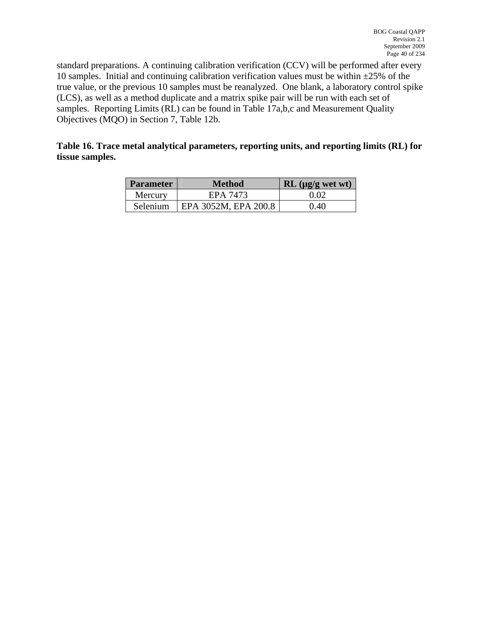<span id="page-40-0"></span>standard preparations. A continuing calibration verification (CCV) will be performed after every 10 samples. Initial and continuing calibration verification values must be within  $\pm 25\%$  of the true value, or the previous 10 samples must be reanalyzed. One blank, a laboratory control spike (LCS), as well as a method duplicate and a matrix spike pair will be run with each set of samples. Reporting Limits (RL) can be found in Table 17a,b,c and Measurement Quality Objectives (MQO) in Section 7, Table 12b.

#### **Table 16. Trace metal analytical parameters, reporting units, and reporting limits (RL) for tissue samples.**

| <b>Parameter</b> | <b>Method</b>        | $RL$ ( $\mu$ g/g wet wt) |
|------------------|----------------------|--------------------------|
| Mercury          | EPA 7473             | 0.02                     |
| <b>Selenium</b>  | EPA 3052M, EPA 200.8 | 0.40                     |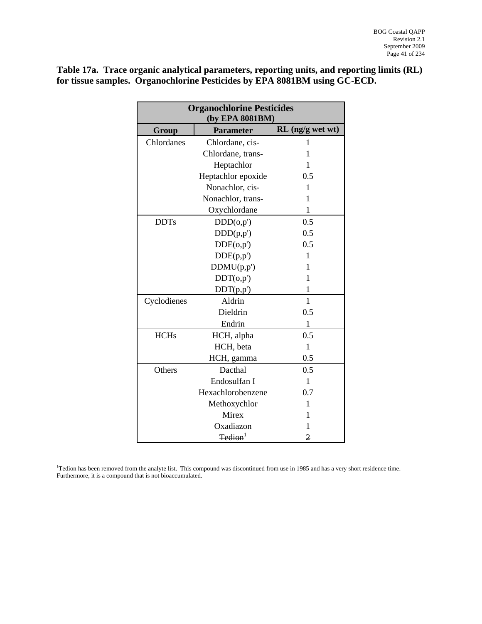<span id="page-41-0"></span>**Table 17a. Trace organic analytical parameters, reporting units, and reporting limits (RL) for tissue samples. Organochlorine Pesticides by EPA 8081BM using GC-ECD.** 

| <b>Organochlorine Pesticides</b><br>(by EPA 8081BM) |                     |                    |  |
|-----------------------------------------------------|---------------------|--------------------|--|
| Group                                               | <b>Parameter</b>    | $RL$ (ng/g wet wt) |  |
| Chlordanes                                          | Chlordane, cis-     | 1                  |  |
|                                                     | Chlordane, trans-   | 1                  |  |
|                                                     | Heptachlor          | 1                  |  |
|                                                     | Heptachlor epoxide  | 0.5                |  |
|                                                     | Nonachlor, cis-     | 1                  |  |
|                                                     | Nonachlor, trans-   | 1                  |  |
|                                                     | Oxychlordane        | 1                  |  |
| <b>DDTs</b>                                         | DDD(o,p')           | 0.5                |  |
|                                                     | DDD(p,p')           | 0.5                |  |
|                                                     | DDE(o,p')           | 0.5                |  |
|                                                     | DDE(p,p')           | 1                  |  |
|                                                     | DDMU(p,p')          | 1                  |  |
|                                                     | DDT(o,p')           | 1                  |  |
|                                                     | DDT(p,p')           | 1                  |  |
| Cyclodienes                                         | Aldrin              | 1                  |  |
|                                                     | Dieldrin<br>0.5     |                    |  |
|                                                     | Endrin              | $\mathbf{1}$       |  |
| <b>HCHs</b>                                         | HCH, alpha          | 0.5                |  |
|                                                     | HCH, beta           | $\mathbf{1}$       |  |
|                                                     | HCH, gamma          | 0.5                |  |
| Others                                              | Dacthal             | 0.5                |  |
|                                                     | Endosulfan I        | 1                  |  |
|                                                     | Hexachlorobenzene   | 0.7                |  |
|                                                     | Methoxychlor        | 1                  |  |
|                                                     | Mirex               | 1                  |  |
|                                                     | Oxadiazon           | 1                  |  |
|                                                     | Tedion <sup>1</sup> | 2                  |  |

<sup>1</sup>Tedion has been removed from the analyte list. This compound was discontinued from use in 1985 and has a very short residence time. Furthermore, it is a compound that is not bioaccumulated.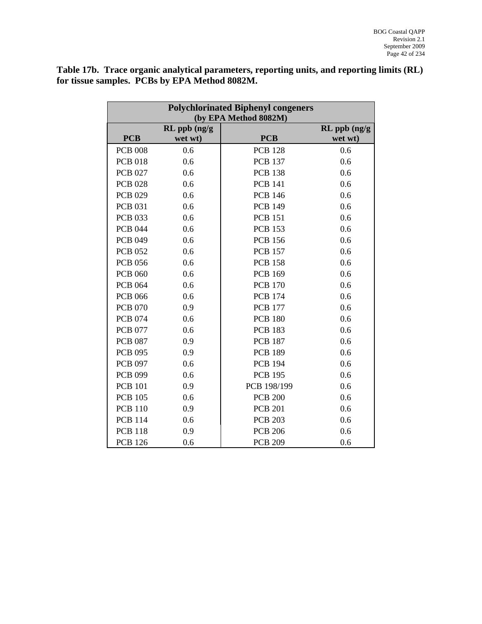<span id="page-42-0"></span>**Table 17b. Trace organic analytical parameters, reporting units, and reporting limits (RL) for tissue samples. PCBs by EPA Method 8082M.** 

| <b>Polychlorinated Biphenyl congeners</b><br>(by EPA Method 8082M) |              |                |                   |
|--------------------------------------------------------------------|--------------|----------------|-------------------|
|                                                                    | RL ppb (ng/g |                | $RL$ ppb $(ng/g)$ |
| <b>PCB</b>                                                         | wet wt)      | <b>PCB</b>     | wet wt)           |
| <b>PCB 008</b>                                                     | 0.6          | <b>PCB 128</b> | 0.6               |
| <b>PCB 018</b>                                                     | 0.6          | <b>PCB 137</b> | 0.6               |
| <b>PCB 027</b>                                                     | 0.6          | <b>PCB 138</b> | 0.6               |
| <b>PCB 028</b>                                                     | 0.6          | <b>PCB 141</b> | 0.6               |
| <b>PCB 029</b>                                                     | 0.6          | <b>PCB 146</b> | 0.6               |
| <b>PCB 031</b>                                                     | 0.6          | <b>PCB 149</b> | 0.6               |
| <b>PCB 033</b>                                                     | 0.6          | <b>PCB 151</b> | 0.6               |
| <b>PCB 044</b>                                                     | 0.6          | <b>PCB 153</b> | 0.6               |
| <b>PCB 049</b>                                                     | 0.6          | <b>PCB 156</b> | 0.6               |
| <b>PCB 052</b>                                                     | 0.6          | <b>PCB 157</b> | 0.6               |
| <b>PCB 056</b>                                                     | 0.6          | <b>PCB 158</b> | 0.6               |
| <b>PCB 060</b>                                                     | 0.6          | <b>PCB 169</b> | 0.6               |
| <b>PCB 064</b>                                                     | 0.6          | <b>PCB 170</b> | 0.6               |
| <b>PCB 066</b>                                                     | 0.6          | <b>PCB 174</b> | 0.6               |
| <b>PCB 070</b>                                                     | 0.9          | <b>PCB 177</b> | 0.6               |
| <b>PCB 074</b>                                                     | 0.6          | <b>PCB 180</b> | 0.6               |
| <b>PCB 077</b>                                                     | 0.6          | <b>PCB 183</b> | 0.6               |
| <b>PCB 087</b>                                                     | 0.9          | <b>PCB 187</b> | 0.6               |
| <b>PCB 095</b>                                                     | 0.9          | <b>PCB 189</b> | 0.6               |
| <b>PCB 097</b>                                                     | 0.6          | <b>PCB 194</b> | 0.6               |
| <b>PCB 099</b>                                                     | 0.6          | <b>PCB 195</b> | 0.6               |
| <b>PCB 101</b>                                                     | 0.9          | PCB 198/199    | 0.6               |
| <b>PCB 105</b>                                                     | 0.6          | <b>PCB 200</b> | 0.6               |
| <b>PCB 110</b>                                                     | 0.9          | <b>PCB 201</b> | 0.6               |
| <b>PCB 114</b>                                                     | 0.6          | <b>PCB 203</b> | 0.6               |
| <b>PCB 118</b>                                                     | 0.9          | <b>PCB 206</b> | 0.6               |
| <b>PCB 126</b>                                                     | 0.6          | <b>PCB 209</b> | 0.6               |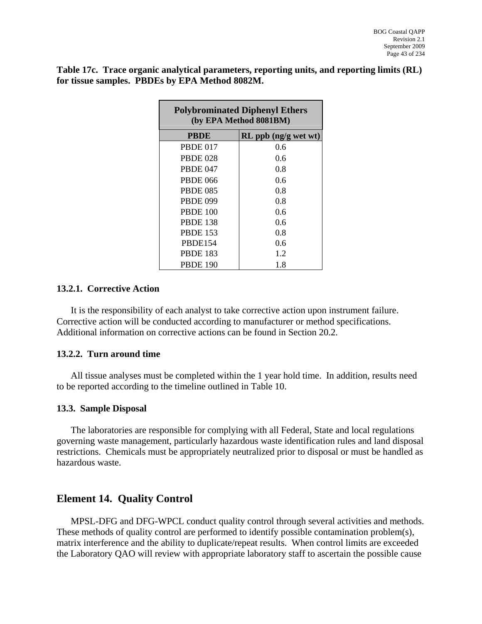<span id="page-43-0"></span>**Table 17c. Trace organic analytical parameters, reporting units, and reporting limits (RL) for tissue samples. PBDEs by EPA Method 8082M.** 

| <b>Polybrominated Diphenyl Ethers</b><br>(by EPA Method 8081BM) |                      |  |  |
|-----------------------------------------------------------------|----------------------|--|--|
| <b>PBDE</b>                                                     | RL ppb (ng/g wet wt) |  |  |
| <b>PBDE 017</b>                                                 | 0.6                  |  |  |
| <b>PBDE 028</b>                                                 | 0.6                  |  |  |
| <b>PBDE 047</b>                                                 | 0.8                  |  |  |
| <b>PBDE 066</b>                                                 | 0.6                  |  |  |
| <b>PBDE 085</b>                                                 | 0.8                  |  |  |
| <b>PBDE 099</b>                                                 | 0.8                  |  |  |
| <b>PBDE 100</b>                                                 | 0.6                  |  |  |
| <b>PBDE 138</b>                                                 | 0.6                  |  |  |
| <b>PBDE 153</b>                                                 | 0.8                  |  |  |
| PBDE154                                                         | 0.6                  |  |  |
| <b>PBDE 183</b>                                                 | 1.2                  |  |  |
| <b>PBDE 190</b>                                                 | 1.8                  |  |  |

#### **13.2.1. Corrective Action**

It is the responsibility of each analyst to take corrective action upon instrument failure. Corrective action will be conducted according to manufacturer or method specifications. Additional information on corrective actions can be found in Section 20.2.

#### **13.2.2. Turn around time**

All tissue analyses must be completed within the 1 year hold time. In addition, results need to be reported according to the timeline outlined in Table 10.

#### **13.3. Sample Disposal**

The laboratories are responsible for complying with all Federal, State and local regulations governing waste management, particularly hazardous waste identification rules and land disposal restrictions. Chemicals must be appropriately neutralized prior to disposal or must be handled as hazardous waste.

# **Element 14. Quality Control**

MPSL-DFG and DFG-WPCL conduct quality control through several activities and methods. These methods of quality control are performed to identify possible contamination problem(s), matrix interference and the ability to duplicate/repeat results. When control limits are exceeded the Laboratory QAO will review with appropriate laboratory staff to ascertain the possible cause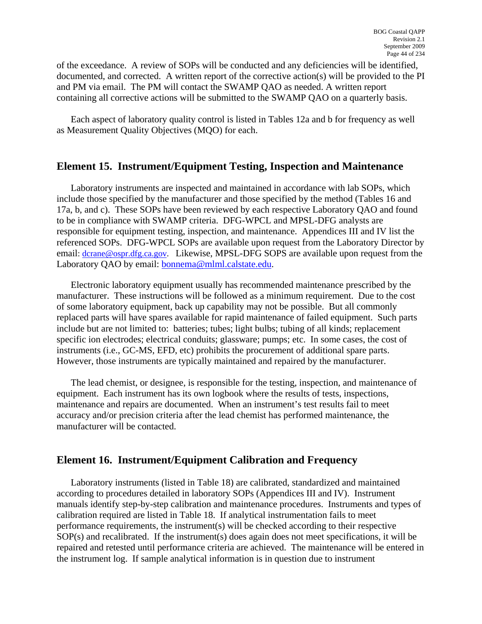<span id="page-44-0"></span>of the exceedance. A review of SOPs will be conducted and any deficiencies will be identified, documented, and corrected. A written report of the corrective action(s) will be provided to the PI and PM via email. The PM will contact the SWAMP QAO as needed. A written report containing all corrective actions will be submitted to the SWAMP QAO on a quarterly basis.

Each aspect of laboratory quality control is listed in Tables 12a and b for frequency as well as Measurement Quality Objectives (MQO) for each.

# **Element 15. Instrument/Equipment Testing, Inspection and Maintenance**

Laboratory instruments are inspected and maintained in accordance with lab SOPs, which include those specified by the manufacturer and those specified by the method (Tables 16 and 17a, b, and c). These SOPs have been reviewed by each respective Laboratory QAO and found to be in compliance with SWAMP criteria. DFG-WPCL and MPSL-DFG analysts are responsible for equipment testing, inspection, and maintenance. Appendices III and IV list the referenced SOPs. DFG-WPCL SOPs are available upon request from the Laboratory Director by email: [dcrane@ospr.dfg.ca.gov.](mailto:dcrane@ospr.dfg.ca.gov) Likewise, MPSL-DFG SOPS are available upon request from the Laboratory QAO by email: [bonnema@mlml.calstate.edu.](mailto:bonnema@mlml.calstate.edu)

Electronic laboratory equipment usually has recommended maintenance prescribed by the manufacturer. These instructions will be followed as a minimum requirement. Due to the cost of some laboratory equipment, back up capability may not be possible. But all commonly replaced parts will have spares available for rapid maintenance of failed equipment. Such parts include but are not limited to: batteries; tubes; light bulbs; tubing of all kinds; replacement specific ion electrodes; electrical conduits; glassware; pumps; etc. In some cases, the cost of instruments (i.e., GC-MS, EFD, etc) prohibits the procurement of additional spare parts. However, those instruments are typically maintained and repaired by the manufacturer.

The lead chemist, or designee, is responsible for the testing, inspection, and maintenance of equipment. Each instrument has its own logbook where the results of tests, inspections, maintenance and repairs are documented. When an instrument's test results fail to meet accuracy and/or precision criteria after the lead chemist has performed maintenance, the manufacturer will be contacted.

# **Element 16. Instrument/Equipment Calibration and Frequency**

Laboratory instruments (listed in Table 18) are calibrated, standardized and maintained according to procedures detailed in laboratory SOPs (Appendices III and IV). Instrument manuals identify step-by-step calibration and maintenance procedures. Instruments and types of calibration required are listed in Table 18. If analytical instrumentation fails to meet performance requirements, the instrument(s) will be checked according to their respective SOP(s) and recalibrated. If the instrument(s) does again does not meet specifications, it will be repaired and retested until performance criteria are achieved. The maintenance will be entered in the instrument log. If sample analytical information is in question due to instrument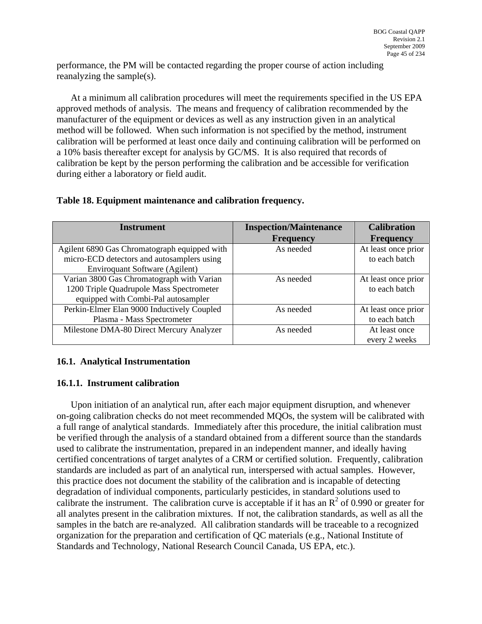<span id="page-45-0"></span>performance, the PM will be contacted regarding the proper course of action including reanalyzing the sample(s).

At a minimum all calibration procedures will meet the requirements specified in the US EPA approved methods of analysis. The means and frequency of calibration recommended by the manufacturer of the equipment or devices as well as any instruction given in an analytical method will be followed. When such information is not specified by the method, instrument calibration will be performed at least once daily and continuing calibration will be performed on a 10% basis thereafter except for analysis by GC/MS. It is also required that records of calibration be kept by the person performing the calibration and be accessible for verification during either a laboratory or field audit.

#### **Table 18. Equipment maintenance and calibration frequency.**

| <b>Instrument</b>                                                                                                            | <b>Inspection/Maintenance</b><br><b>Frequency</b> | <b>Calibration</b><br><b>Frequency</b> |
|------------------------------------------------------------------------------------------------------------------------------|---------------------------------------------------|----------------------------------------|
| Agilent 6890 Gas Chromatograph equipped with<br>micro-ECD detectors and autosamplers using<br>Enviroquant Software (Agilent) | As needed                                         | At least once prior<br>to each batch   |
| Varian 3800 Gas Chromatograph with Varian<br>1200 Triple Quadrupole Mass Spectrometer<br>equipped with Combi-Pal autosampler | As needed                                         | At least once prior<br>to each batch   |
| Perkin-Elmer Elan 9000 Inductively Coupled<br>Plasma - Mass Spectrometer                                                     | As needed                                         | At least once prior<br>to each batch   |
| Milestone DMA-80 Direct Mercury Analyzer                                                                                     | As needed                                         | At least once<br>every 2 weeks         |

## **16.1. Analytical Instrumentation**

## **16.1.1. Instrument calibration**

Upon initiation of an analytical run, after each major equipment disruption, and whenever on-going calibration checks do not meet recommended MQOs, the system will be calibrated with a full range of analytical standards. Immediately after this procedure, the initial calibration must be verified through the analysis of a standard obtained from a different source than the standards used to calibrate the instrumentation, prepared in an independent manner, and ideally having certified concentrations of target analytes of a CRM or certified solution. Frequently, calibration standards are included as part of an analytical run, interspersed with actual samples. However, this practice does not document the stability of the calibration and is incapable of detecting degradation of individual components, particularly pesticides, in standard solutions used to calibrate the instrument. The calibration curve is acceptable if it has an  $\mathbb{R}^2$  of 0.990 or greater for all analytes present in the calibration mixtures. If not, the calibration standards, as well as all the samples in the batch are re-analyzed. All calibration standards will be traceable to a recognized organization for the preparation and certification of QC materials (e.g., National Institute of Standards and Technology, National Research Council Canada, US EPA, etc.).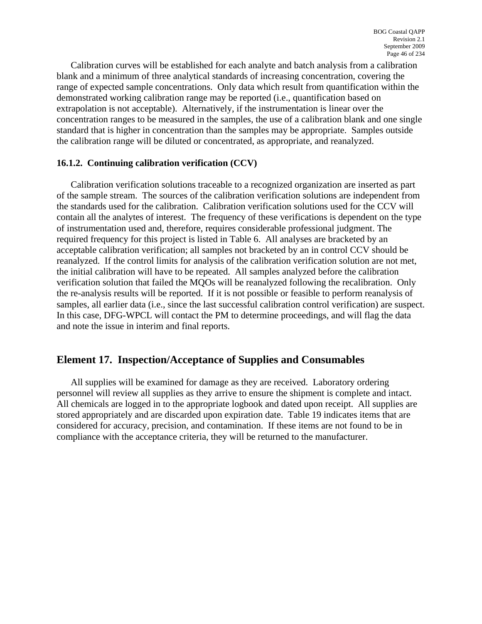<span id="page-46-0"></span>Calibration curves will be established for each analyte and batch analysis from a calibration blank and a minimum of three analytical standards of increasing concentration, covering the range of expected sample concentrations. Only data which result from quantification within the demonstrated working calibration range may be reported (i.e., quantification based on extrapolation is not acceptable). Alternatively, if the instrumentation is linear over the concentration ranges to be measured in the samples, the use of a calibration blank and one single standard that is higher in concentration than the samples may be appropriate. Samples outside the calibration range will be diluted or concentrated, as appropriate, and reanalyzed.

#### **16.1.2. Continuing calibration verification (CCV)**

Calibration verification solutions traceable to a recognized organization are inserted as part of the sample stream. The sources of the calibration verification solutions are independent from the standards used for the calibration. Calibration verification solutions used for the CCV will contain all the analytes of interest. The frequency of these verifications is dependent on the type of instrumentation used and, therefore, requires considerable professional judgment. The required frequency for this project is listed in Table 6. All analyses are bracketed by an acceptable calibration verification; all samples not bracketed by an in control CCV should be reanalyzed. If the control limits for analysis of the calibration verification solution are not met, the initial calibration will have to be repeated. All samples analyzed before the calibration verification solution that failed the MQOs will be reanalyzed following the recalibration. Only the re-analysis results will be reported. If it is not possible or feasible to perform reanalysis of samples, all earlier data (i.e., since the last successful calibration control verification) are suspect. In this case, DFG-WPCL will contact the PM to determine proceedings, and will flag the data and note the issue in interim and final reports.

## **Element 17. Inspection/Acceptance of Supplies and Consumables**

All supplies will be examined for damage as they are received. Laboratory ordering personnel will review all supplies as they arrive to ensure the shipment is complete and intact. All chemicals are logged in to the appropriate logbook and dated upon receipt. All supplies are stored appropriately and are discarded upon expiration date. Table 19 indicates items that are considered for accuracy, precision, and contamination. If these items are not found to be in compliance with the acceptance criteria, they will be returned to the manufacturer.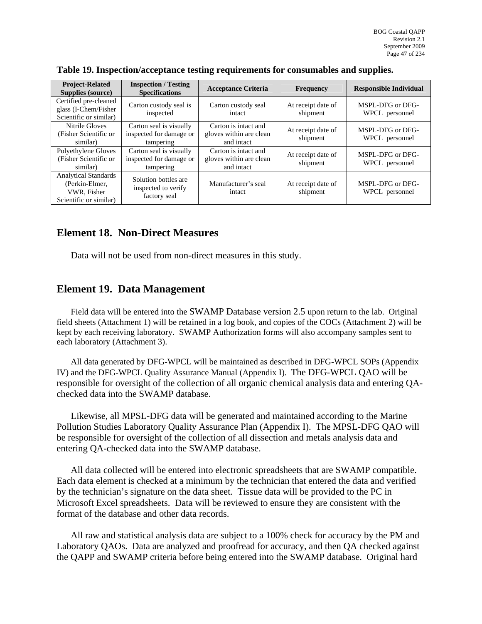| <b>Project-Related</b><br>Supplies (source)                                            | <b>Inspection / Testing</b><br><b>Specifications</b>            | <b>Acceptance Criteria</b>                                    | <b>Frequency</b>               | <b>Responsible Individual</b>      |
|----------------------------------------------------------------------------------------|-----------------------------------------------------------------|---------------------------------------------------------------|--------------------------------|------------------------------------|
| Certified pre-cleaned<br>glass (I-Chem/Fisher<br>Scientific or similar)                | Carton custody seal is<br>inspected                             | Carton custody seal<br>intact                                 | At receipt date of<br>shipment | MSPL-DFG or DFG-<br>WPCL personnel |
| Nitrile Gloves<br>(Fisher Scientific or<br>similar)                                    | Carton seal is visually<br>inspected for damage or<br>tampering | Carton is intact and<br>gloves within are clean<br>and intact | At receipt date of<br>shipment | MSPL-DFG or DFG-<br>WPCL personnel |
| Polyethylene Gloves<br>(Fisher Scientific or<br>similar)                               | Carton seal is visually<br>inspected for damage or<br>tampering | Carton is intact and<br>gloves within are clean<br>and intact | At receipt date of<br>shipment | MSPL-DFG or DFG-<br>WPCL personnel |
| <b>Analytical Standards</b><br>(Perkin-Elmer,<br>VWR, Fisher<br>Scientific or similar) | Solution bottles are<br>inspected to verify<br>factory seal     | Manufacturer's seal<br>intact                                 | At receipt date of<br>shipment | MSPL-DFG or DFG-<br>WPCL personnel |

<span id="page-47-0"></span>

|  |  | Table 19. Inspection/acceptance testing requirements for consumables and supplies. |
|--|--|------------------------------------------------------------------------------------|
|  |  |                                                                                    |

# **Element 18. Non-Direct Measures**

Data will not be used from non-direct measures in this study.

## **Element 19. Data Management**

Field data will be entered into the SWAMP Database version 2.5 upon return to the lab. Original field sheets (Attachment 1) will be retained in a log book, and copies of the COCs (Attachment 2) will be kept by each receiving laboratory. SWAMP Authorization forms will also accompany samples sent to each laboratory (Attachment 3).

All data generated by DFG-WPCL will be maintained as described in DFG-WPCL SOPs (Appendix IV) and the DFG-WPCL Quality Assurance Manual (Appendix I). The DFG-WPCL QAO will be responsible for oversight of the collection of all organic chemical analysis data and entering QAchecked data into the SWAMP database.

Likewise, all MPSL-DFG data will be generated and maintained according to the Marine Pollution Studies Laboratory Quality Assurance Plan (Appendix I). The MPSL-DFG QAO will be responsible for oversight of the collection of all dissection and metals analysis data and entering QA-checked data into the SWAMP database.

All data collected will be entered into electronic spreadsheets that are SWAMP compatible. Each data element is checked at a minimum by the technician that entered the data and verified by the technician's signature on the data sheet. Tissue data will be provided to the PC in Microsoft Excel spreadsheets. Data will be reviewed to ensure they are consistent with the format of the database and other data records.

All raw and statistical analysis data are subject to a 100% check for accuracy by the PM and Laboratory QAOs. Data are analyzed and proofread for accuracy, and then QA checked against the QAPP and SWAMP criteria before being entered into the SWAMP database. Original hard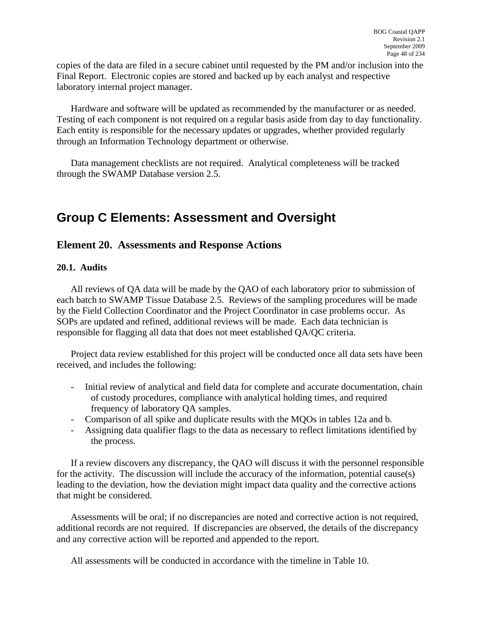<span id="page-48-0"></span>copies of the data are filed in a secure cabinet until requested by the PM and/or inclusion into the Final Report. Electronic copies are stored and backed up by each analyst and respective laboratory internal project manager.

Hardware and software will be updated as recommended by the manufacturer or as needed. Testing of each component is not required on a regular basis aside from day to day functionality. Each entity is responsible for the necessary updates or upgrades, whether provided regularly through an Information Technology department or otherwise.

Data management checklists are not required. Analytical completeness will be tracked through the SWAMP Database version 2.5.

# **Group C Elements: Assessment and Oversight**

# **Element 20. Assessments and Response Actions**

#### **20.1. Audits**

All reviews of QA data will be made by the QAO of each laboratory prior to submission of each batch to SWAMP Tissue Database 2.5. Reviews of the sampling procedures will be made by the Field Collection Coordinator and the Project Coordinator in case problems occur. As SOPs are updated and refined, additional reviews will be made. Each data technician is responsible for flagging all data that does not meet established QA/QC criteria.

Project data review established for this project will be conducted once all data sets have been received, and includes the following:

- Initial review of analytical and field data for complete and accurate documentation, chain of custody procedures, compliance with analytical holding times, and required frequency of laboratory QA samples.
- Comparison of all spike and duplicate results with the MQOs in tables 12a and b.
- Assigning data qualifier flags to the data as necessary to reflect limitations identified by the process.

If a review discovers any discrepancy, the QAO will discuss it with the personnel responsible for the activity. The discussion will include the accuracy of the information, potential cause(s) leading to the deviation, how the deviation might impact data quality and the corrective actions that might be considered.

Assessments will be oral; if no discrepancies are noted and corrective action is not required, additional records are not required. If discrepancies are observed, the details of the discrepancy and any corrective action will be reported and appended to the report.

All assessments will be conducted in accordance with the timeline in Table 10.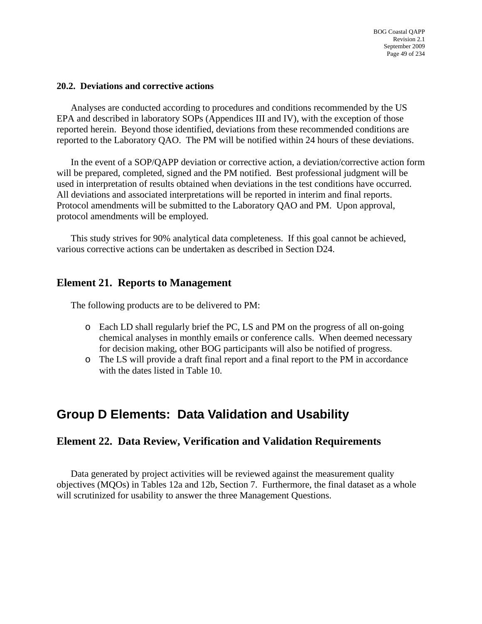#### <span id="page-49-0"></span>**20.2. Deviations and corrective actions**

Analyses are conducted according to procedures and conditions recommended by the US EPA and described in laboratory SOPs (Appendices III and IV), with the exception of those reported herein. Beyond those identified, deviations from these recommended conditions are reported to the Laboratory QAO. The PM will be notified within 24 hours of these deviations.

In the event of a SOP/QAPP deviation or corrective action, a deviation/corrective action form will be prepared, completed, signed and the PM notified. Best professional judgment will be used in interpretation of results obtained when deviations in the test conditions have occurred. All deviations and associated interpretations will be reported in interim and final reports. Protocol amendments will be submitted to the Laboratory QAO and PM. Upon approval, protocol amendments will be employed.

This study strives for 90% analytical data completeness. If this goal cannot be achieved, various corrective actions can be undertaken as described in Section D24.

# **Element 21. Reports to Management**

The following products are to be delivered to PM:

- o Each LD shall regularly brief the PC, LS and PM on the progress of all on-going chemical analyses in monthly emails or conference calls. When deemed necessary for decision making, other BOG participants will also be notified of progress.
- o The LS will provide a draft final report and a final report to the PM in accordance with the dates listed in Table 10.

# **Group D Elements: Data Validation and Usability**

## **Element 22. Data Review, Verification and Validation Requirements**

Data generated by project activities will be reviewed against the measurement quality objectives (MQOs) in Tables 12a and 12b, Section 7. Furthermore, the final dataset as a whole will scrutinized for usability to answer the three Management Questions.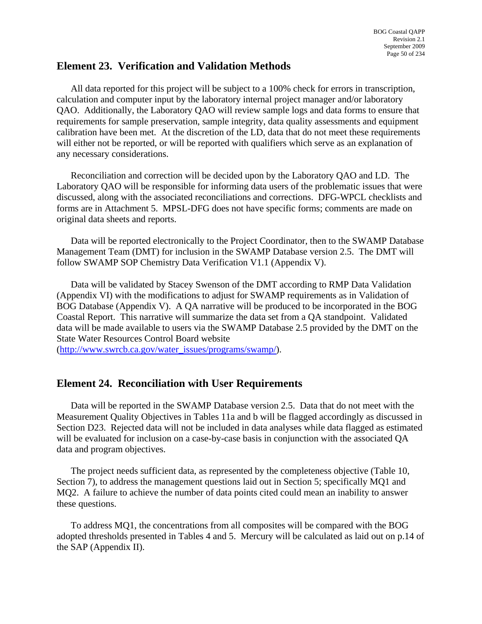# <span id="page-50-0"></span>**Element 23. Verification and Validation Methods**

All data reported for this project will be subject to a 100% check for errors in transcription, calculation and computer input by the laboratory internal project manager and/or laboratory QAO. Additionally, the Laboratory QAO will review sample logs and data forms to ensure that requirements for sample preservation, sample integrity, data quality assessments and equipment calibration have been met. At the discretion of the LD, data that do not meet these requirements will either not be reported, or will be reported with qualifiers which serve as an explanation of any necessary considerations.

Reconciliation and correction will be decided upon by the Laboratory QAO and LD. The Laboratory QAO will be responsible for informing data users of the problematic issues that were discussed, along with the associated reconciliations and corrections. DFG-WPCL checklists and forms are in Attachment 5. MPSL-DFG does not have specific forms; comments are made on original data sheets and reports.

Data will be reported electronically to the Project Coordinator, then to the SWAMP Database Management Team (DMT) for inclusion in the SWAMP Database version 2.5. The DMT will follow SWAMP SOP Chemistry Data Verification V1.1 (Appendix V).

Data will be validated by Stacey Swenson of the DMT according to RMP Data Validation (Appendix VI) with the modifications to adjust for SWAMP requirements as in Validation of BOG Database (Appendix V). A QA narrative will be produced to be incorporated in the BOG Coastal Report. This narrative will summarize the data set from a QA standpoint. Validated data will be made available to users via the SWAMP Database 2.5 provided by the DMT on the State Water Resources Control Board website

([http://www.swrcb.ca.gov/water\\_issues/programs/swamp/\)](http://www.swrcb.ca.gov/water_issues/programs/swamp/).

# **Element 24. Reconciliation with User Requirements**

Data will be reported in the SWAMP Database version 2.5. Data that do not meet with the Measurement Quality Objectives in Tables 11a and b will be flagged accordingly as discussed in Section D23. Rejected data will not be included in data analyses while data flagged as estimated will be evaluated for inclusion on a case-by-case basis in conjunction with the associated QA data and program objectives.

The project needs sufficient data, as represented by the completeness objective (Table 10, Section 7), to address the management questions laid out in Section 5; specifically MQ1 and MQ2. A failure to achieve the number of data points cited could mean an inability to answer these questions.

To address MQ1, the concentrations from all composites will be compared with the BOG adopted thresholds presented in Tables 4 and 5. Mercury will be calculated as laid out on p.14 of the SAP (Appendix II).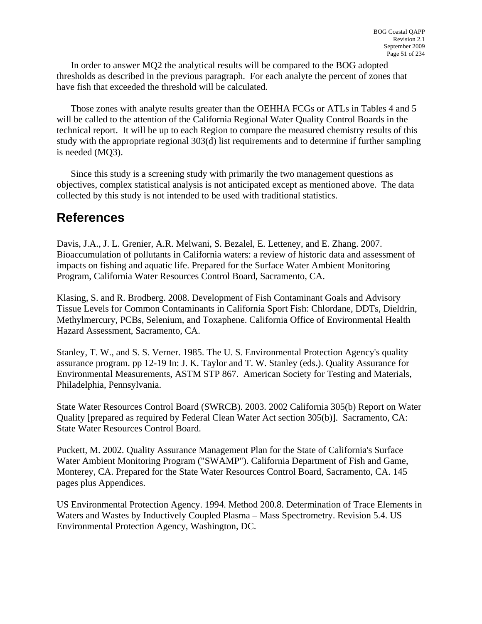<span id="page-51-0"></span>In order to answer MQ2 the analytical results will be compared to the BOG adopted thresholds as described in the previous paragraph. For each analyte the percent of zones that have fish that exceeded the threshold will be calculated.

Those zones with analyte results greater than the OEHHA FCGs or ATLs in Tables 4 and 5 will be called to the attention of the California Regional Water Quality Control Boards in the technical report. It will be up to each Region to compare the measured chemistry results of this study with the appropriate regional 303(d) list requirements and to determine if further sampling is needed (MQ3).

Since this study is a screening study with primarily the two management questions as objectives, complex statistical analysis is not anticipated except as mentioned above. The data collected by this study is not intended to be used with traditional statistics.

# **References**

Davis, J.A., J. L. Grenier, A.R. Melwani, S. Bezalel, E. Letteney, and E. Zhang. 2007. Bioaccumulation of pollutants in California waters: a review of historic data and assessment of impacts on fishing and aquatic life. Prepared for the Surface Water Ambient Monitoring Program, California Water Resources Control Board, Sacramento, CA.

Klasing, S. and R. Brodberg. 2008. Development of Fish Contaminant Goals and Advisory Tissue Levels for Common Contaminants in California Sport Fish: Chlordane, DDTs, Dieldrin, Methylmercury, PCBs, Selenium, and Toxaphene. California Office of Environmental Health Hazard Assessment, Sacramento, CA.

Stanley, T. W., and S. S. Verner. 1985. The U. S. Environmental Protection Agency's quality assurance program. pp 12-19 In: J. K. Taylor and T. W. Stanley (eds.). Quality Assurance for Environmental Measurements, ASTM STP 867. American Society for Testing and Materials, Philadelphia, Pennsylvania.

State Water Resources Control Board (SWRCB). 2003. 2002 California 305(b) Report on Water Quality [prepared as required by Federal Clean Water Act section 305(b)]. Sacramento, CA: State Water Resources Control Board.

Puckett, M. 2002. Quality Assurance Management Plan for the State of California's Surface Water Ambient Monitoring Program ("SWAMP"). California Department of Fish and Game, Monterey, CA. Prepared for the State Water Resources Control Board, Sacramento, CA. 145 pages plus Appendices.

US Environmental Protection Agency. 1994. Method 200.8. Determination of Trace Elements in Waters and Wastes by Inductively Coupled Plasma – Mass Spectrometry. Revision 5.4. US Environmental Protection Agency, Washington, DC.